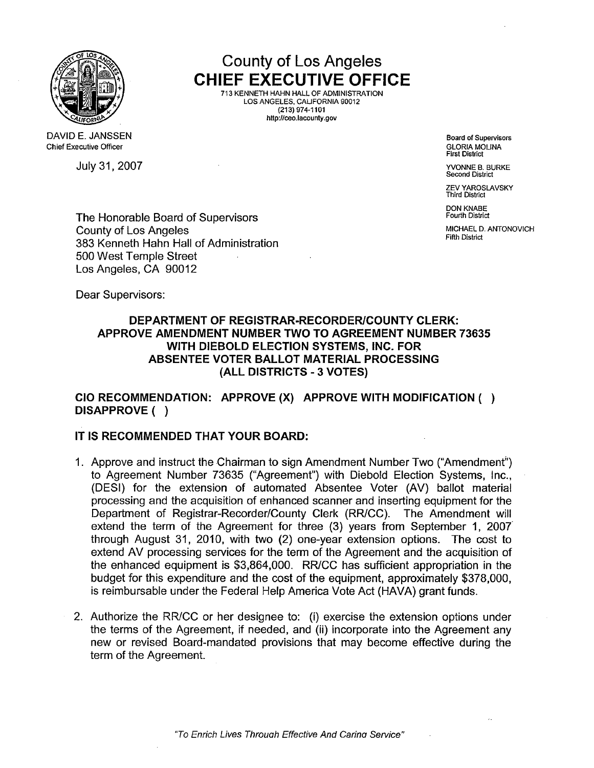

DAVID E. JANSSEN **Chief Executive Officer** 

July 31,2007 YVONNE B. BURKE

County of Los Angeles CHIEF EXECUTIVE OFFICE 713 KENNETH HAHN HALL OF ADMINISTRATION LOS ANGELES. CAUFORNIA 90012

(213) 974-1101 http://ceo.lacounty.gov

> Board of Supervisors **GLORIA MOLINA** First District

Second District

ZEV YAROSLAVSKY Third District

DON KNABE Fourth District

MICHAEL D. ANTONOVICH Fifth District

The Honorable Board of Supervisors County of Los Angeles 383 Kenneth Hahn Hall of Administration 500 West Temple Street Los Angeles, CA 90012

Dear Supervisors:

## DEPARTMENT OF REGISTRAR-RECORDER/COUNTY CLERK: APPROVE AMENDMENT NUMBER TWO TO AGREEMENT NUMBER 73635 WITH DIEBOLD ELECTION SYSTEMS, INC. FOR ABSENTEE VOTER BALLOT MATERIAL PROCESSING (ALL DISTRICTS - 3 VOTES)

cia RECOMMENDATION: APPROVE (X) APPROVE WITH MODIFICATION ( ) DISAPPROVE ( )

## IT IS RECOMMENDED THAT YOUR BOARD:

- 1. Approve and instruct the Chairman to sign Amendment Number Two ("Amendment;') to Agreement Number 73635 ("Agreement") with Diebold Election Systems, Inc., (DESI) for the extension of automated Absentee Voter (AV) ballot material processing and the acquisition of enhanced scanner and inserting equipment for the Department of Registrar-Recorder/County Clerk (RR/CC). The Amendment will extend the term of the Agreement for three (3) years from September 1, 2007 through August 31, 2010, with two (2) one-year extension options. The cost to extend AV processing services for the term of the Agreement and the acquisition of the enhanced equipment is \$3,864,000. RRICC has sufficient appropriation in the budget for this expenditure and the cost of the equipment, approximately \$378,000, is reimbursable under the Federal Help America Vote Act (HAVA) grant funds.
- 2. Authorize the RRICC or her designee to: (i) exercise the extension options under the terms of the Agreement, if needed, and (ii) incorporate into the Agreement any new or revised Board-mandated provisions that may become effective during the term of the Agreement.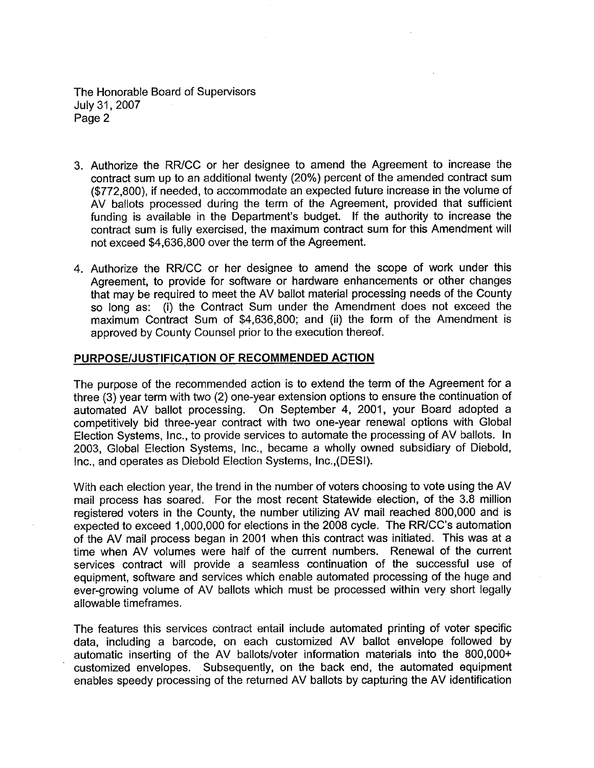The Honorable Board of Supervisors July 31,2007 Page 2

- 3. Authorize the RRICC or her designee to amend the Agreement to increase the contract sum up to an additional twenty (20%) percent of the amended contract sum (\$772,800), if needed, to accommodate an expected future increase in the volume of AV ballots processed during the term of the Agreement, provided that sufficient funding is available in the Department's budget. If the authority to increase the contract sum is fully exercised, the maximum contract sum for this Amendment wil not exceed \$4,636,800 over the term of the Agreement.
- 4. Authorize the RRICC or her designee to amend the scope of work under this Agreement, to provide for software or hardware enhancements or other changes that may be required to meet the AV ballot material processing needs of the County so long as: (i) the Contract Sum under the Amendment does not exceed the maximum Contract Sum of \$4,636,800; and (ii) the form of the Amendment is approved by County Counsel prior to the execution thereof.

### PURPOSE/JUSTIFICATION OF RECOMMENDED ACTION

The purpose of the recommended action is to extend the term of the Agreement for a three (3) year term with two (2) one-year extension options to ensure the continuation of automated AV ballot processing. On September 4, 2001, your Board adopted a competitively bid three-year contract with two one-year renewal options with Global Election Systems, Inc., to provide services to automate the processing of AV ballots. In 2003, Global Election Systems, Inc., became a wholly owned subsidiary of Diebold, Inc., and operates as Diebold Election Systems, Inc.,(DESI).

With each election year, the trend in the number of voters choosing to vote using the AV mail process has soared. For the most recent Statewide election, of the 3.8 million registered voters in the County, the number utilizing AV mail reached 800,000 and is expected to exceed 1,000,000 for elections in the 2008 cycle. The RR/CC's automation of the AV mail process began in 2001 when this contract was initiated. This was at a time when AV volumes were half of the current numbers. Renewal of the current services contract will provide a seamless continuation of the successful use of equipment, software and services which enable automated processing of the huge and ever-growing volume of AV ballots which must be processed within very short legally allowable timeframes.

The features this services contract entail include automated printing of voter specific data, including a barcode, on each customized AV ballot envelope followed by automatic inserting of the AV ballots/voter information materials into the 800,000+ customized envelopes. Subsequently, on the back end, the automated equipment enables speedy processing of the returned AV ballots by capturing the AV identification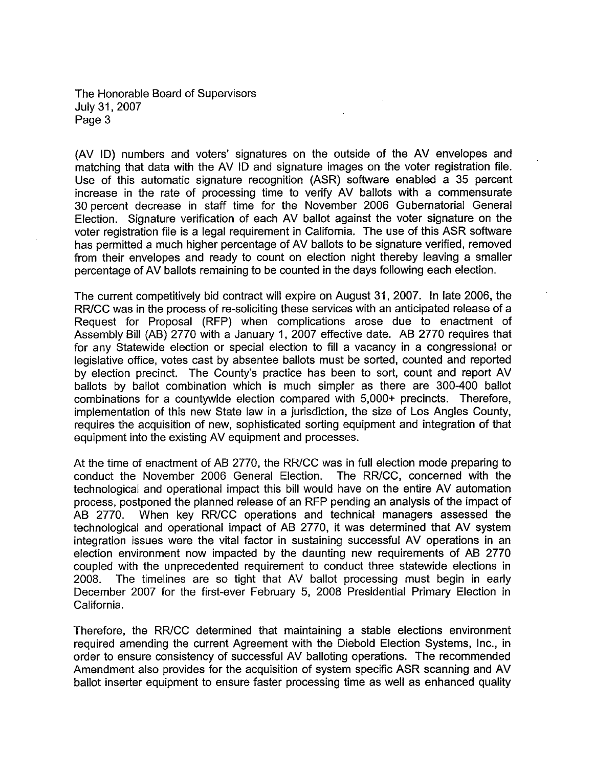The Honorable Board of Supervisors July 31,2007 Page 3

(AV ID) numbers and voters' signatures on the outside of the AV envelopes and matching that data with the AV ID and signature images on the voter registration file. Use of this automatic signature recognition (ASR) software enabled a 35 percent increase in the rate of processing time to verify AV ballots with a commensurate 30 percent decrease in staff time for the November 2006 Gubernatorial General Election. Signature verification of each AV ballot against the voter signature on the voter registration file is a legal requirement in California. The use of this ASR software has permitted a much higher percentage of AV ballots to be signature verified, removed from their envelopes and ready to count on election night thereby leaving a smaller percentage of AV ballots remaining to be counted in the days following each election.

The current competitively bid contract will expire on August 31, 2007. In late 2006, the RR/CC was in the process of re-soliciting these services with an anticipated release of a Request for Proposal (RFP) when complications arose due to enactment of Assembly Bil (AB) 2770 with a January 1, 2007 effective date. AB 2770 requires that for any Statewide election or special election to fil a vacancy in a congressional or legislative office, votes cast by absentee ballots must be sorted, counted and reported by election precinct. The County's practice has been to sort, count and report AV ballots by ballot combination which is much simpler as there are 300-400 ballot combinations for a countywide election compared with 5,000+ precincts. Therefore, implementation of this new State law in a jurisdiction, the size of Los Angles County, requires the acquisition of new, sophisticated sorting equipment and integration of that equipment into the existing AV equipment and processes.

At the time of enactment of AB 2770, the RR/CC was in full election mode preparing to conduct the November 2006 General Election. The RR/CC, concerned with the conduct the November 2006 General Election. technological and operational impact this bill would have on the entire AV automation process, postponed the planned release of an RFP pending an analysis of the impact of AB 2770. When key RR/CC operations and technical managers assessed the technological and operational impact of AB 2770, it was determined that AV system integration issues were the vital factor in sustaining successful AV operations in an election environment now impacted by the daunting new requirements of AB 2770 coupled with the unprecedented requirement to conduct three statewide elections in 2008. The timelines are so tight that AV ballot processing must begin in early December 2007 for the first-ever February 5, 2008 Presidential Primary Election in California.

Therefore, the RR/CC determined that maintaining a stable elections environment required amending the current Agreement with the Diebold Election Systems, Inc., in order to ensure consistency of successful AV balloting operations. The recommended Amendment also provides for the acquisition of system specific ASR scanning and AV ballot inserter equipment to ensure faster processing time as well as enhanced quality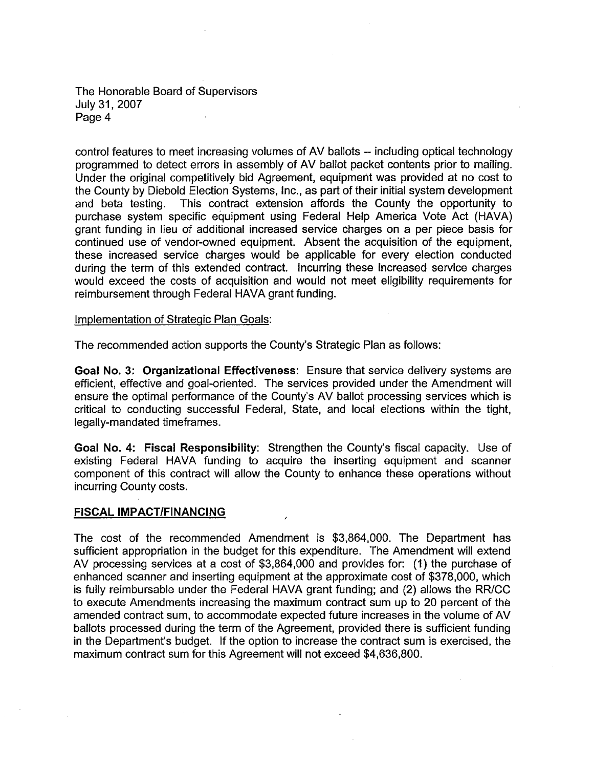The Honorable Board of Supervisors July 31,2007 Page 4

control features to meet increasing volumes of AV ballots -- including optical technology programmed to detect errors in assembly of AV ballot packet contents prior to mailing. Under the original competitively bid Agreement, equipment was provided at no cost to the County by Diebold Election Systems, Inc., as part of their initial system development and beta testing. This contract extension affords the County the opportunity to purchase system specific equipment using Federal Help America Vote Act (HAVA) grant funding in lieu of additional increased service charges on a per piece basis for continued use of vendor-owned equipment. Absent the acquisition of the equipment, these increased service charges would be applicable for every election conducted during the term of this extended contract. Incurring these increased service charges would exceed the costs of acquisition and would not meet eligibilty requirements for reimbursement through Federal HAVA grant funding.

Implementation of Strateqic Plan Goals:

The recommended action supports the County's Strategic Plan as follows:

Goal No.3: Organizational Effectiveness: Ensure that service delivery systems are efficient, effective and goal-oriented. The services provided under the Amendment will ensure the optimal performance of the County's AV ballot processing services which is critical to conducting successful Federal, State, and local elections within the tight, legally-mandated timeframes.

Goal No.4: Fiscal Responsibilty: Strengthen the County's fiscal capacity. Use of existing Federal HAVA funding to acquire the inserting equipment and scanner component of this contract wil allow the County to enhance these operations without incurring County costs.

### FISCAL IMPACT/FINANCING

The cost of the recommended Amendment is \$3,864,000. The Department has sufficient appropriation in the budget for this expenditure. The Amendment will extend AV processing services at a cost of \$3,864,000 and provides for: (1) the purchase of enhanced scanner and inserting equipment at the approximate cost of \$378,000, which is fully reimbursable under the Federal HAVA grant funding; and (2) allows the RR/CC to execute Amendments increasing the maximum contract sum up to 20 percent of the amended contract sum, to accommodate expected future increases in the volume of AV ballots processed during the term of the Agreement, provided there is sufficient funding in the Department's budget. If the option to increase the contract sum is exercised, the maximum contract sum for this Agreement will not exceed \$4,636,800.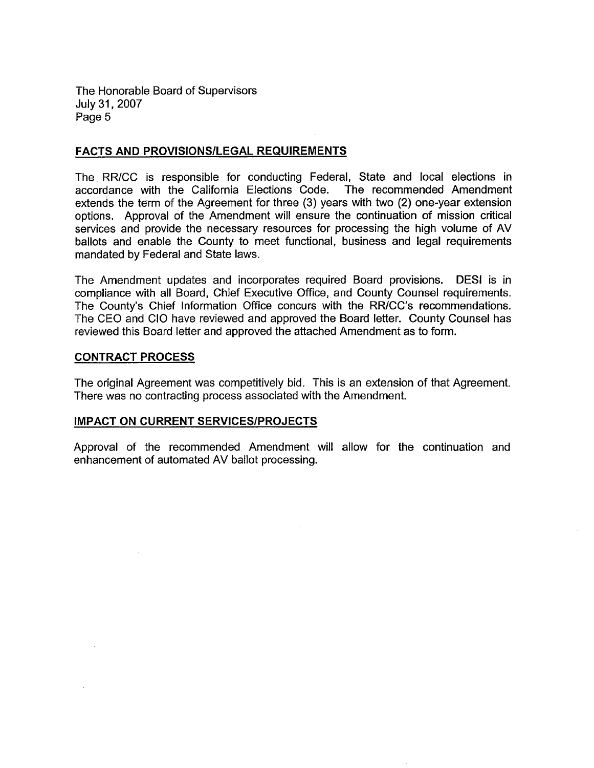The Honorable Board of Supervisors July 31 , 2007 Page 5

## FACTS AND PROVISIONS/LEGAL REQUIREMENTS

The. RR/CC is responsible for conducting Federal, State and local elections in accordance with the California Elections Code. The recommended Amendment extends the term of the Agreement for three (3) years with two (2) one-year extension options. Approval of the Amendment will ensure the continuation of mission critical services and provide the necessary resources for processing the high volume of AV ballots and enable the County to meet functional, business and legal requirements mandated by Federal and State laws.

The Amendment updates and incorporates required Board provisions. DESI is in compliance with all Board, Chief Executive Office, and County Counsel requirements. The County's Chief Information Office concurs with the RR/CC's recommendations. The CEO and CIO have reviewed and approved the Board letter. County Counsel has reviewed this Board letter and approved the attached Amendment as to form.

### CONTRACT PROCESS

The original Agreement was competitively bid. This is an extension of that Agreement. There was no contracting process associated with the Amendment.

### IMPACT ON CURRENT SERVICES/PROJECTS

Approval of the recommended Amendment will allow for the continuation and enhancement of automated AV ballot processing.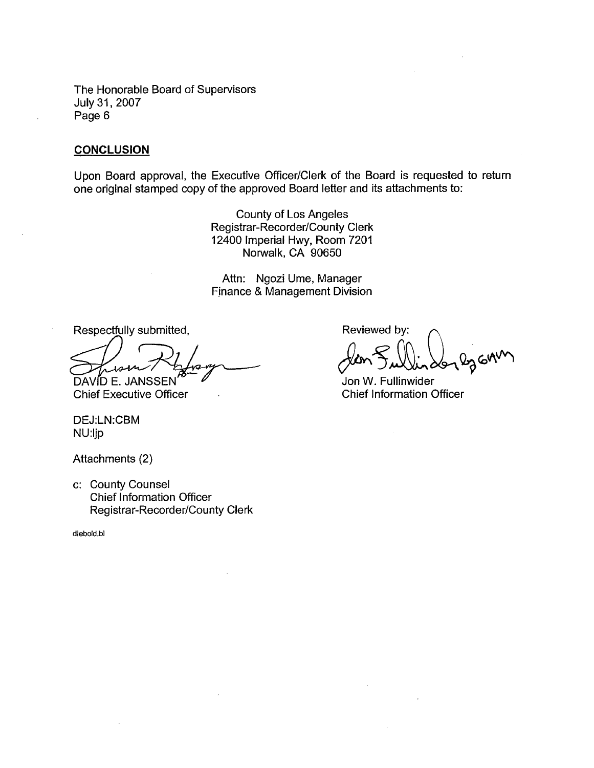The Honorable Board of Supervisors<br>July 31, 2007 Page 6

### **CONCLUSION**

Upon Board approval, the Executive Officer/Clerk of the Board is requested to return one original stamped copy of the approved Board letter and its attachments to:

> County of Los Angeles Registrar-Recorder/County Clerk 12400 Imperial Hwy, Room 7201 Norwalk, CA 90650

> Attn: Ngozi Ume, Manager Fjnance & Management Division

Respectfully submitted,

DAVÍD E. JANSSEN

**Chief Executive Officer** 

DEJ:LN:CBM NU:ljp

Attachments (2)

c: County Counsel Chief Information Officer Registrar-Recorder/County Clerk

diebold.bl

Reviewed by:

ten Jullin 2012 GAM

Chief Information Officer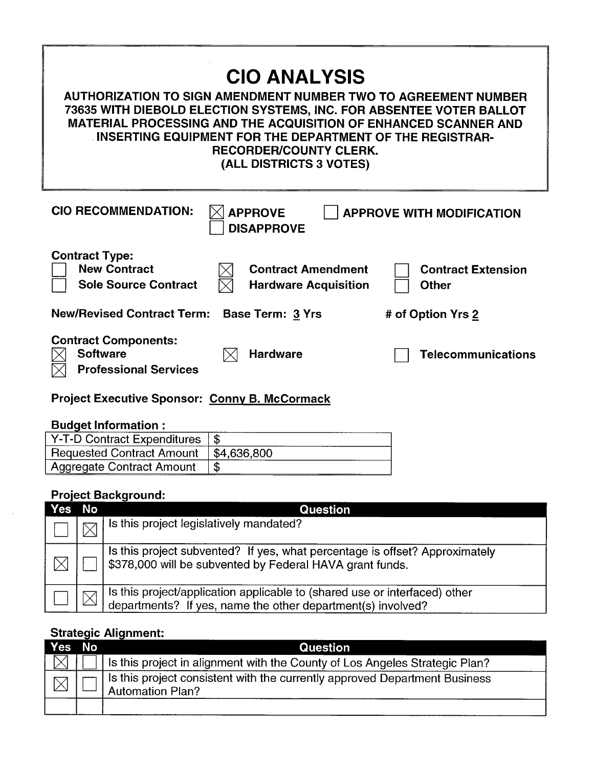| <b>CIO ANALYSIS</b><br><b>AUTHORIZATION TO SIGN AMENDMENT NUMBER TWO TO AGREEMENT NUMBER</b><br>73635 WITH DIEBOLD ELECTION SYSTEMS, INC. FOR ABSENTEE VOTER BALLOT<br><b>MATERIAL PROCESSING AND THE ACQUISITION OF ENHANCED SCANNER AND</b><br>INSERTING EQUIPMENT FOR THE DEPARTMENT OF THE REGISTRAR-<br><b>RECORDER/COUNTY CLERK.</b><br>(ALL DISTRICTS 3 VOTES) |  |  |  |  |
|-----------------------------------------------------------------------------------------------------------------------------------------------------------------------------------------------------------------------------------------------------------------------------------------------------------------------------------------------------------------------|--|--|--|--|
| <b>CIO RECOMMENDATION:</b><br><b>APPROVE</b><br><b>APPROVE WITH MODIFICATION</b><br><b>DISAPPROVE</b>                                                                                                                                                                                                                                                                 |  |  |  |  |
| <b>Contract Type:</b><br><b>New Contract</b><br><b>Contract Amendment</b><br><b>Contract Extension</b><br><b>Sole Source Contract</b><br><b>Hardware Acquisition</b><br><b>Other</b>                                                                                                                                                                                  |  |  |  |  |
| <b>New/Revised Contract Term:</b><br><b>Base Term: 3 Yrs</b><br># of Option Yrs 2                                                                                                                                                                                                                                                                                     |  |  |  |  |
| <b>Contract Components:</b><br><b>Software</b><br><b>Hardware</b><br>Telecommunications<br><b>Professional Services</b>                                                                                                                                                                                                                                               |  |  |  |  |
| <b>Project Executive Sponsor: Conny B. McCormack</b>                                                                                                                                                                                                                                                                                                                  |  |  |  |  |
|                                                                                                                                                                                                                                                                                                                                                                       |  |  |  |  |

٦

# **Budget Information :**

| Y-T-D Contract Expenditures $\frac{1}{3}$ |             |
|-------------------------------------------|-------------|
| <b>Requested Contract Amount</b>          | \$4.636.800 |
| <b>Aggregate Contract Amount</b>          |             |

# **Project Background:**

| <b>Yes</b> | No | <b>Question</b>                                                                                                                           |
|------------|----|-------------------------------------------------------------------------------------------------------------------------------------------|
|            |    | Is this project legislatively mandated?                                                                                                   |
|            |    | Is this project subvented? If yes, what percentage is offset? Approximately<br>\$378,000 will be subvented by Federal HAVA grant funds.   |
|            |    | Is this project/application applicable to (shared use or interfaced) other<br>departments? If yes, name the other department(s) involved? |

# Strategic Alignment:

| <b>Yes</b> | <b>No</b> | <b>Question</b>                                                                                       |
|------------|-----------|-------------------------------------------------------------------------------------------------------|
|            |           | Is this project in alignment with the County of Los Angeles Strategic Plan?                           |
|            |           | Is this project consistent with the currently approved Department Business<br><b>Automation Plan?</b> |
|            |           |                                                                                                       |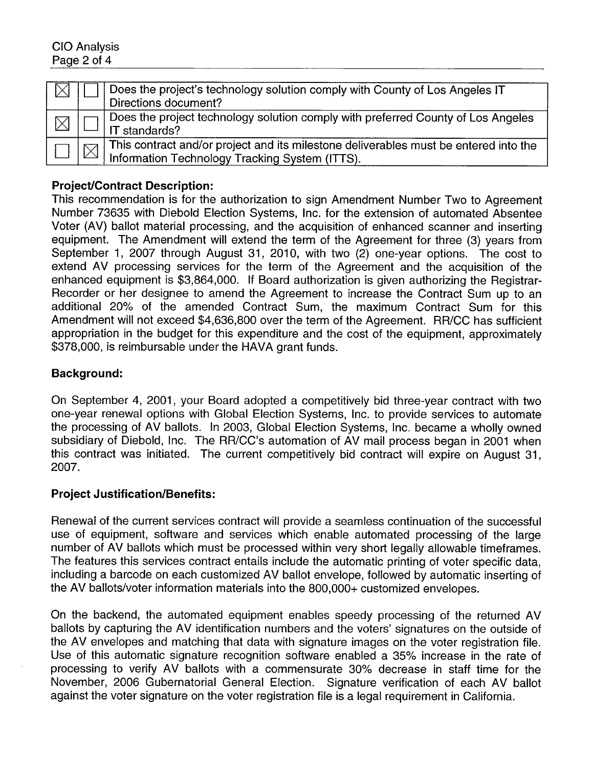|  | Does the project's technology solution comply with County of Los Angeles IT<br>Directions document?                                    |
|--|----------------------------------------------------------------------------------------------------------------------------------------|
|  | Does the project technology solution comply with preferred County of Los Angeles<br>IT standards?                                      |
|  | This contract and/or project and its milestone deliverables must be entered into the<br>Information Technology Tracking System (ITTS). |

## Project/Contract Description:

This recommendation is for the authorization to sign Amendment Number Two to Agreement Number 73635 with Diebold Election Systems, Inc. for the extension of automated Absentee Voter (AV) ballot material processing, and the acquisition of enhanced scanner and inserting equipment. The Amendment will extend the term of the Agreement for three (3) years from September 1, 2007 through August 31, 2010, with two (2) one-year options. The cost to extend AV processing services for the term of the Agreement and the acquisition of the enhanced equipment is \$3,864,000. If Board authorization is given authorizing the Registrar-Recorder or her designee to amend the Agreement to increase the Contract Sum up to an additional 20% of the amended Contract Sum, the maximum Contract Sum for this Amendment will not exceed \$4,636,800 over the term of the Agreement. RR/CC has sufficient appropriation in the budget for this expenditure and the cost of the equipment, approximately \$378,000, is reimbursable under the HAVA grant funds.

## Background:

On September 4, 2001, your Board adopted a competitively bid three-year contract with two one-year renewal options with Global Election Systems, Inc. to provide services to automate the processing of AV ballots. In 2003, Global Election Systems, Inc. became a wholly owned subsidiary of Diebold, Inc. The RR/CC's automation of AV mail process began in 2001 when this contract was initiated. The current competitively bid contract will expire on August 31, 2007.

## **Project Justification/Benefits:**

Renewal of the current services contract will provide a seamless continuation of the successful use of equipment, software and services which enable automated processing of the large number of AV ballots which must be processed within very short legally allowable timeframes. The features this services contract entails include the automatic printing of voter specific data, including a barcode on each customized AV ballot envelope, followed by automatic inserting of the AV ballots/voter information materials into the 800,000+ customized envelopes.

On the backend, the automated equipment enables speedy processing of the returned A V ballots by capturing the AV identification numbers and the voters' signatures on the outside of the AV envelopes and matching that data with signature images on the voter registration file. Use of this automatic signature recognition software enabled a 35% increase in the rate of processing to verify AV ballots with a commensurate 30% decrease in staff time for the November, 2006 Gubernatorial General Election. Signature verification of each AV ballot against the voter signature on the voter registration fie is a legal requirement in California.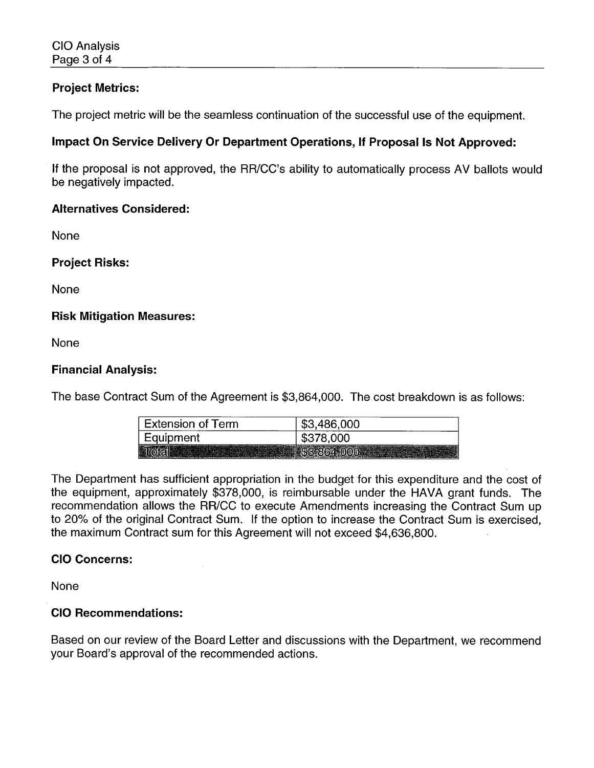## Project Metrics:

The project metric will be the seamless continuation of the successful use of the equipment.

# Impact On Service Delivery Or Department Operations, If Proposal Is Not Approved:

If the proposal is not approved, the RR/CC's ability to automatically process AV ballots would be negatively impacted.

## Alternatives Considered:

None

Project Risks:

None

## Risk Mitigation Measures:

None

## Financial Analysis:

The base Contract Sum of the Agreement is \$3,864,000. The cost breakdown is as follows:

| <b>Extension of Term</b> | \$3,486,000 |
|--------------------------|-------------|
| Equipment                | \$378,000   |
|                          |             |

The Department has sufficient appropriation in the budget for this expenditure and the cost of the equipment, approximately \$378,000, is reimbursable under the HAVA grant funds. The recommendation allows the RR/CC to execute Amendments increasing the Contract Sum up to 20% of the original Contract Sum. If the option to increase the Contract Sum is exercised, the maximum Contract sum for this Agreement will not exceed \$4,636,800.

## CIO Concerns:

None

## CIO Recommendations:

Based on our review of the Board Letter and discussions with the Department, we recommend your Board's approval of the recommended actions.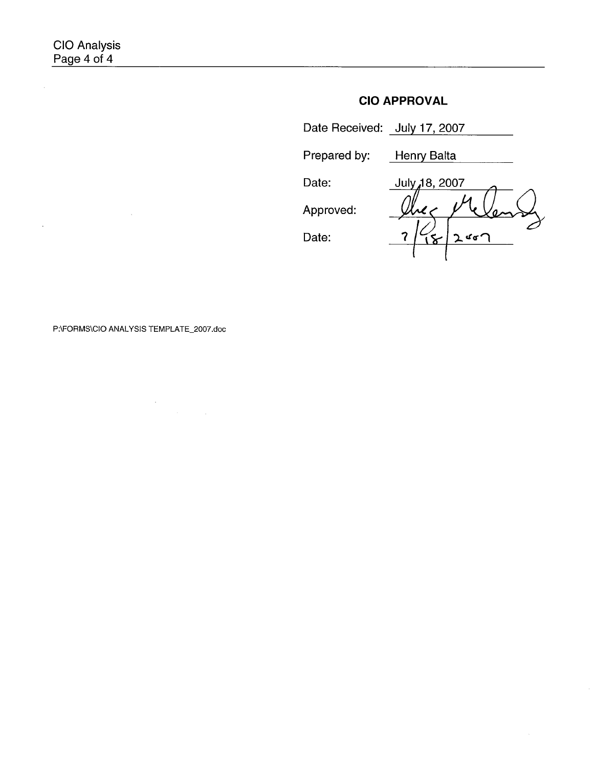$\mathcal{A}^{\pm}$ 

 $\bar{\mathcal{L}}$ 

# CIO APPROVAL

| Date Received: July 17, 2007 |               |
|------------------------------|---------------|
| Prepared by:                 | Henry Balta   |
| Date:                        | July 18, 2007 |
| Approved:                    |               |
| Date:                        |               |

## P:\FORMS\CIO ANALYSIS TEMPLATE\_2007.doc

 $\sim$   $\sim$ 

 $\label{eq:2} \begin{split} \mathcal{L}_{\text{max}}(\mathbf{r}) = \mathcal{L}_{\text{max}}(\mathbf{r}) \mathcal{L}_{\text{max}}(\mathbf{r}) \mathcal{L}_{\text{max}}(\mathbf{r}) \mathcal{L}_{\text{max}}(\mathbf{r}) \mathcal{L}_{\text{max}}(\mathbf{r}) \mathcal{L}_{\text{max}}(\mathbf{r}) \mathcal{L}_{\text{max}}(\mathbf{r}) \mathcal{L}_{\text{max}}(\mathbf{r}) \mathcal{L}_{\text{max}}(\mathbf{r}) \mathcal{L}_{\text{max}}(\mathbf{r}) \mathcal{L}_{\text{max}}(\mathbf{r}) \mathcal$ 

 $\sim$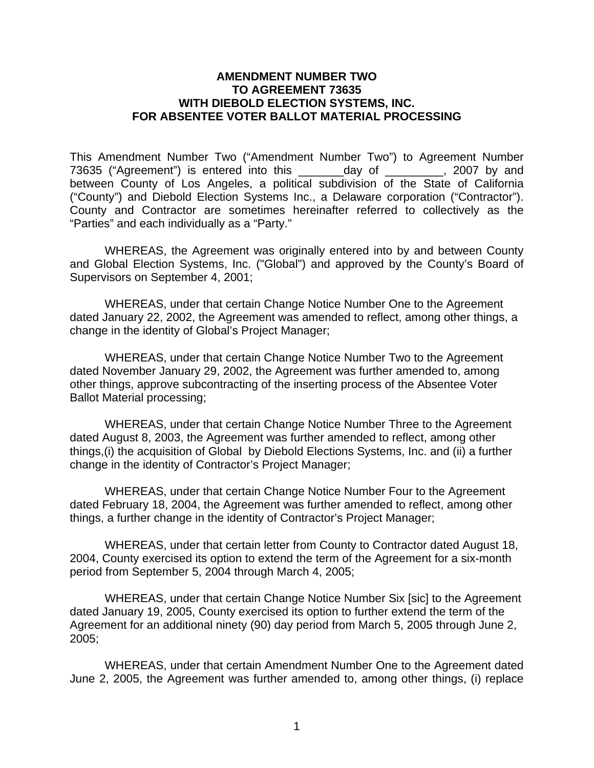## **AMENDMENT NUMBER TWO TO AGREEMENT 73635 WITH DIEBOLD ELECTION SYSTEMS, INC. FOR ABSENTEE VOTER BALLOT MATERIAL PROCESSING**

This Amendment Number Two ("Amendment Number Two") to Agreement Number 73635 ("Agreement") is entered into this \_\_\_\_\_\_\_day of \_\_\_\_\_\_\_\_\_, 2007 by and between County of Los Angeles, a political subdivision of the State of California ("County") and Diebold Election Systems Inc., a Delaware corporation ("Contractor"). County and Contractor are sometimes hereinafter referred to collectively as the "Parties" and each individually as a "Party."

 WHEREAS, the Agreement was originally entered into by and between County and Global Election Systems, Inc. ("Global") and approved by the County's Board of Supervisors on September 4, 2001;

WHEREAS, under that certain Change Notice Number One to the Agreement dated January 22, 2002, the Agreement was amended to reflect, among other things, a change in the identity of Global's Project Manager;

WHEREAS, under that certain Change Notice Number Two to the Agreement dated November January 29, 2002, the Agreement was further amended to, among other things, approve subcontracting of the inserting process of the Absentee Voter Ballot Material processing;

WHEREAS, under that certain Change Notice Number Three to the Agreement dated August 8, 2003, the Agreement was further amended to reflect, among other things,(i) the acquisition of Global by Diebold Elections Systems, Inc. and (ii) a further change in the identity of Contractor's Project Manager;

WHEREAS, under that certain Change Notice Number Four to the Agreement dated February 18, 2004, the Agreement was further amended to reflect, among other things, a further change in the identity of Contractor's Project Manager;

WHEREAS, under that certain letter from County to Contractor dated August 18, 2004, County exercised its option to extend the term of the Agreement for a six-month period from September 5, 2004 through March 4, 2005;

WHEREAS, under that certain Change Notice Number Six [sic] to the Agreement dated January 19, 2005, County exercised its option to further extend the term of the Agreement for an additional ninety (90) day period from March 5, 2005 through June 2, 2005;

WHEREAS, under that certain Amendment Number One to the Agreement dated June 2, 2005, the Agreement was further amended to, among other things, (i) replace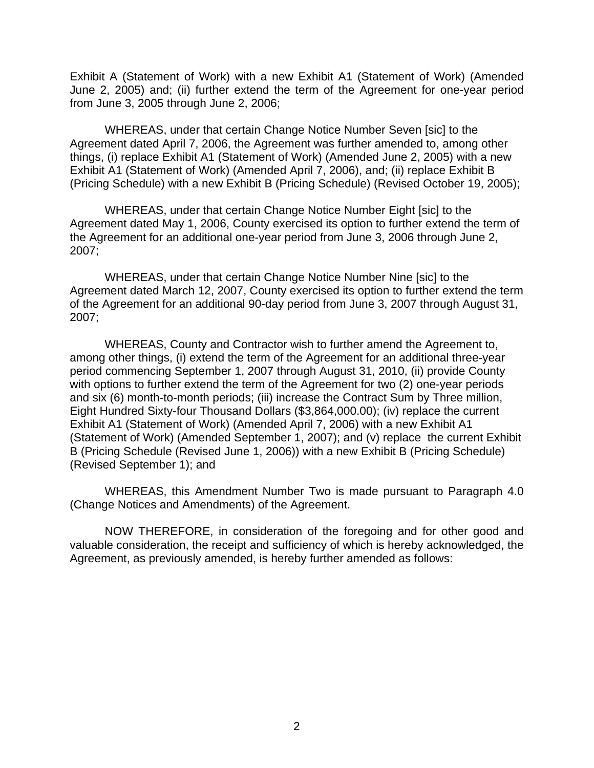Exhibit A (Statement of Work) with a new Exhibit A1 (Statement of Work) (Amended June 2, 2005) and; (ii) further extend the term of the Agreement for one-year period from June 3, 2005 through June 2, 2006;

WHEREAS, under that certain Change Notice Number Seven [sic] to the Agreement dated April 7, 2006, the Agreement was further amended to, among other things, (i) replace Exhibit A1 (Statement of Work) (Amended June 2, 2005) with a new Exhibit A1 (Statement of Work) (Amended April 7, 2006), and; (ii) replace Exhibit B (Pricing Schedule) with a new Exhibit B (Pricing Schedule) (Revised October 19, 2005);

WHEREAS, under that certain Change Notice Number Eight [sic] to the Agreement dated May 1, 2006, County exercised its option to further extend the term of the Agreement for an additional one-year period from June 3, 2006 through June 2, 2007;

WHEREAS, under that certain Change Notice Number Nine [sic] to the Agreement dated March 12, 2007, County exercised its option to further extend the term of the Agreement for an additional 90-day period from June 3, 2007 through August 31, 2007;

WHEREAS, County and Contractor wish to further amend the Agreement to, among other things, (i) extend the term of the Agreement for an additional three-year period commencing September 1, 2007 through August 31, 2010, (ii) provide County with options to further extend the term of the Agreement for two (2) one-year periods and six (6) month-to-month periods; (iii) increase the Contract Sum by Three million, Eight Hundred Sixty-four Thousand Dollars (\$3,864,000.00); (iv) replace the current Exhibit A1 (Statement of Work) (Amended April 7, 2006) with a new Exhibit A1 (Statement of Work) (Amended September 1, 2007); and (v) replace the current Exhibit B (Pricing Schedule (Revised June 1, 2006)) with a new Exhibit B (Pricing Schedule) (Revised September 1); and

 WHEREAS, this Amendment Number Two is made pursuant to Paragraph 4.0 (Change Notices and Amendments) of the Agreement.

 NOW THEREFORE, in consideration of the foregoing and for other good and valuable consideration, the receipt and sufficiency of which is hereby acknowledged, the Agreement, as previously amended, is hereby further amended as follows: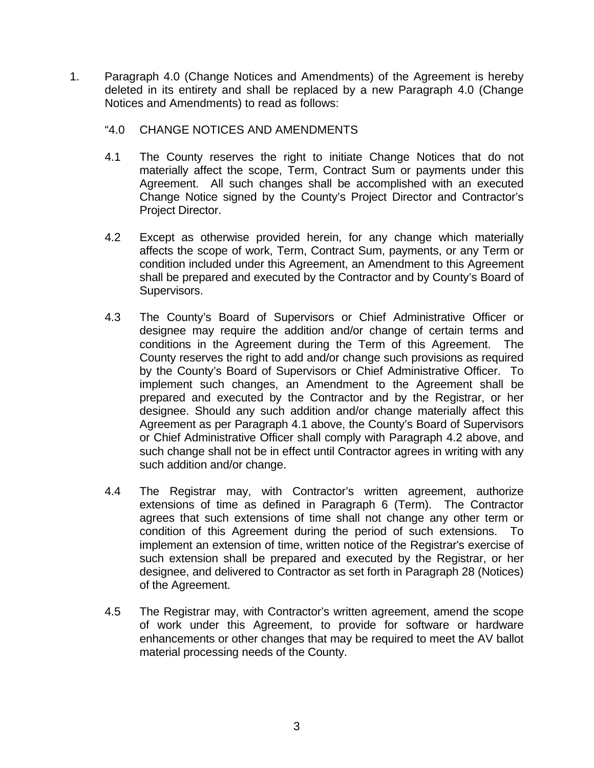- 1. Paragraph 4.0 (Change Notices and Amendments) of the Agreement is hereby deleted in its entirety and shall be replaced by a new Paragraph 4.0 (Change Notices and Amendments) to read as follows:
	- "4.0 CHANGE NOTICES AND AMENDMENTS
	- 4.1 The County reserves the right to initiate Change Notices that do not materially affect the scope, Term, Contract Sum or payments under this Agreement. All such changes shall be accomplished with an executed Change Notice signed by the County's Project Director and Contractor's Project Director.
	- 4.2 Except as otherwise provided herein, for any change which materially affects the scope of work, Term, Contract Sum, payments, or any Term or condition included under this Agreement, an Amendment to this Agreement shall be prepared and executed by the Contractor and by County's Board of Supervisors.
	- 4.3 The County's Board of Supervisors or Chief Administrative Officer or designee may require the addition and/or change of certain terms and conditions in the Agreement during the Term of this Agreement. The County reserves the right to add and/or change such provisions as required by the County's Board of Supervisors or Chief Administrative Officer. To implement such changes, an Amendment to the Agreement shall be prepared and executed by the Contractor and by the Registrar, or her designee. Should any such addition and/or change materially affect this Agreement as per Paragraph 4.1 above, the County's Board of Supervisors or Chief Administrative Officer shall comply with Paragraph 4.2 above, and such change shall not be in effect until Contractor agrees in writing with any such addition and/or change.
	- 4.4 The Registrar may, with Contractor's written agreement, authorize extensions of time as defined in Paragraph 6 (Term). The Contractor agrees that such extensions of time shall not change any other term or condition of this Agreement during the period of such extensions. To implement an extension of time, written notice of the Registrar's exercise of such extension shall be prepared and executed by the Registrar, or her designee, and delivered to Contractor as set forth in Paragraph 28 (Notices) of the Agreement.
	- 4.5 The Registrar may, with Contractor's written agreement, amend the scope of work under this Agreement, to provide for software or hardware enhancements or other changes that may be required to meet the AV ballot material processing needs of the County.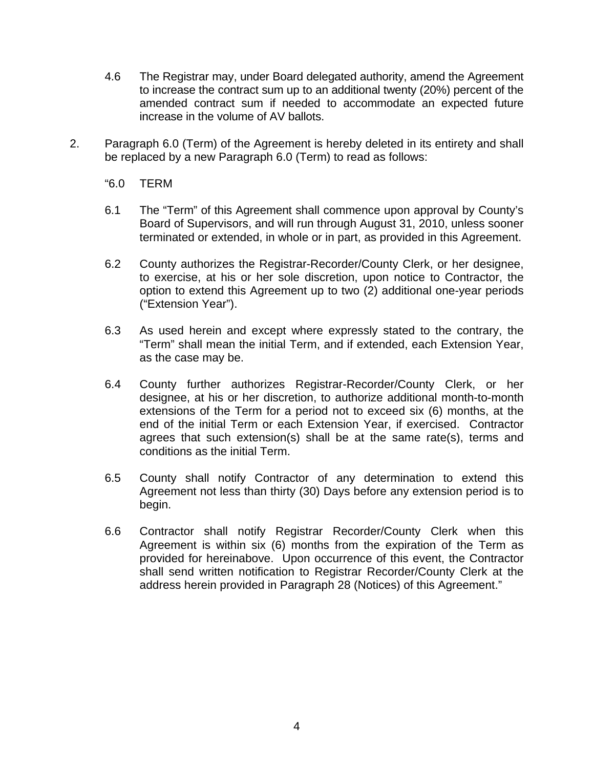- 4.6 The Registrar may, under Board delegated authority, amend the Agreement to increase the contract sum up to an additional twenty (20%) percent of the amended contract sum if needed to accommodate an expected future increase in the volume of AV ballots.
- 2. Paragraph 6.0 (Term) of the Agreement is hereby deleted in its entirety and shall be replaced by a new Paragraph 6.0 (Term) to read as follows:
	- "6.0 TERM
	- 6.1 The "Term" of this Agreement shall commence upon approval by County's Board of Supervisors, and will run through August 31, 2010, unless sooner terminated or extended, in whole or in part, as provided in this Agreement.
	- 6.2 County authorizes the Registrar-Recorder/County Clerk, or her designee, to exercise, at his or her sole discretion, upon notice to Contractor, the option to extend this Agreement up to two (2) additional one-year periods ("Extension Year").
	- 6.3 As used herein and except where expressly stated to the contrary, the "Term" shall mean the initial Term, and if extended, each Extension Year, as the case may be.
	- 6.4 County further authorizes Registrar-Recorder/County Clerk, or her designee, at his or her discretion, to authorize additional month-to-month extensions of the Term for a period not to exceed six (6) months, at the end of the initial Term or each Extension Year, if exercised. Contractor agrees that such extension(s) shall be at the same rate(s), terms and conditions as the initial Term.
	- 6.5 County shall notify Contractor of any determination to extend this Agreement not less than thirty (30) Days before any extension period is to begin.
	- 6.6 Contractor shall notify Registrar Recorder/County Clerk when this Agreement is within six (6) months from the expiration of the Term as provided for hereinabove. Upon occurrence of this event, the Contractor shall send written notification to Registrar Recorder/County Clerk at the address herein provided in Paragraph 28 (Notices) of this Agreement."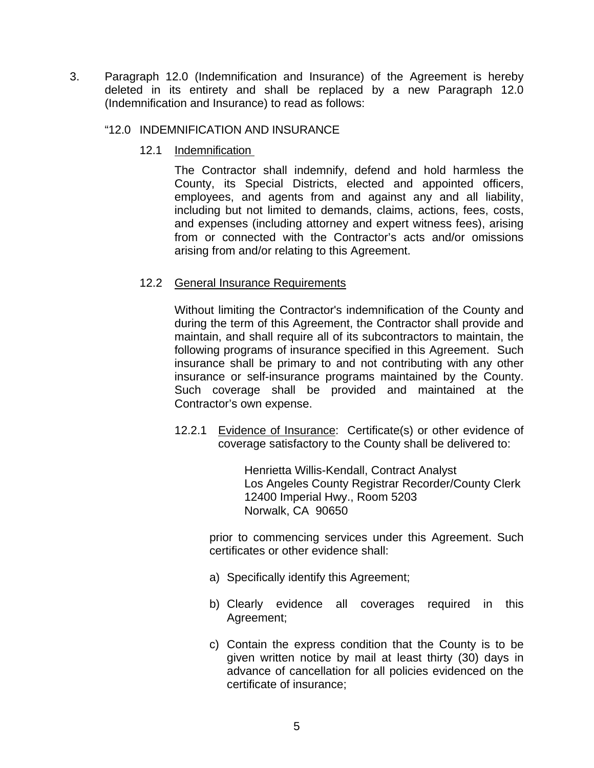3. Paragraph 12.0 (Indemnification and Insurance) of the Agreement is hereby deleted in its entirety and shall be replaced by a new Paragraph 12.0 (Indemnification and Insurance) to read as follows:

## "12.0 INDEMNIFICATION AND INSURANCE

12.1 Indemnification

The Contractor shall indemnify, defend and hold harmless the County, its Special Districts, elected and appointed officers, employees, and agents from and against any and all liability, including but not limited to demands, claims, actions, fees, costs, and expenses (including attorney and expert witness fees), arising from or connected with the Contractor's acts and/or omissions arising from and/or relating to this Agreement.

## 12.2 General Insurance Requirements

Without limiting the Contractor's indemnification of the County and during the term of this Agreement, the Contractor shall provide and maintain, and shall require all of its subcontractors to maintain, the following programs of insurance specified in this Agreement. Such insurance shall be primary to and not contributing with any other insurance or self-insurance programs maintained by the County. Such coverage shall be provided and maintained at the Contractor's own expense.

 12.2.1 Evidence of Insurance: Certificate(s) or other evidence of coverage satisfactory to the County shall be delivered to:

> Henrietta Willis-Kendall, Contract Analyst Los Angeles County Registrar Recorder/County Clerk 12400 Imperial Hwy., Room 5203 Norwalk, CA 90650

 prior to commencing services under this Agreement. Such certificates or other evidence shall:

- a) Specifically identify this Agreement;
- b) Clearly evidence all coverages required in this Agreement;
- c) Contain the express condition that the County is to be given written notice by mail at least thirty (30) days in advance of cancellation for all policies evidenced on the certificate of insurance;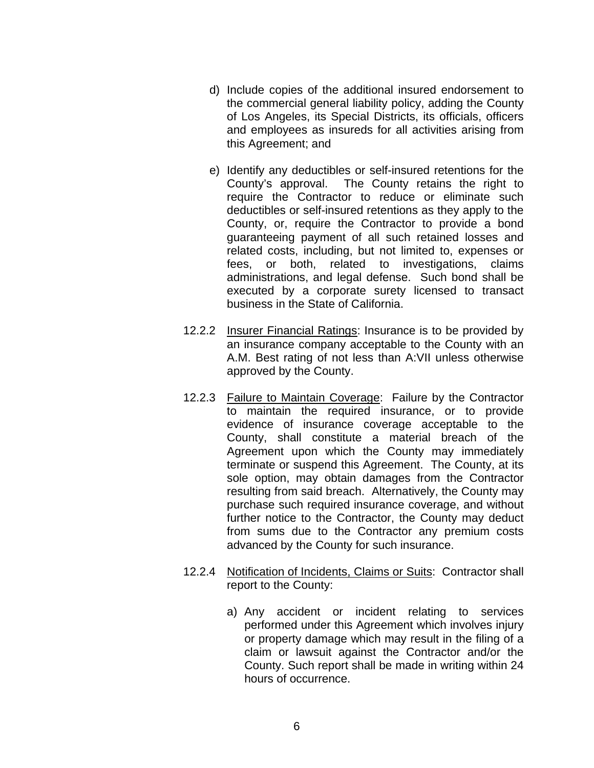- d) Include copies of the additional insured endorsement to the commercial general liability policy, adding the County of Los Angeles, its Special Districts, its officials, officers and employees as insureds for all activities arising from this Agreement; and
- e) Identify any deductibles or self-insured retentions for the County's approval. The County retains the right to require the Contractor to reduce or eliminate such deductibles or self-insured retentions as they apply to the County, or, require the Contractor to provide a bond guaranteeing payment of all such retained losses and related costs, including, but not limited to, expenses or fees, or both, related to investigations, claims administrations, and legal defense. Such bond shall be executed by a corporate surety licensed to transact business in the State of California.
- 12.2.2 Insurer Financial Ratings: Insurance is to be provided by an insurance company acceptable to the County with an A.M. Best rating of not less than A:VII unless otherwise approved by the County.
- 12.2.3 Failure to Maintain Coverage: Failure by the Contractor to maintain the required insurance, or to provide evidence of insurance coverage acceptable to the County, shall constitute a material breach of the Agreement upon which the County may immediately terminate or suspend this Agreement. The County, at its sole option, may obtain damages from the Contractor resulting from said breach. Alternatively, the County may purchase such required insurance coverage, and without further notice to the Contractor, the County may deduct from sums due to the Contractor any premium costs advanced by the County for such insurance.
- 12.2.4 Notification of Incidents, Claims or Suits: Contractor shall report to the County:
	- a) Any accident or incident relating to services performed under this Agreement which involves injury or property damage which may result in the filing of a claim or lawsuit against the Contractor and/or the County. Such report shall be made in writing within 24 hours of occurrence.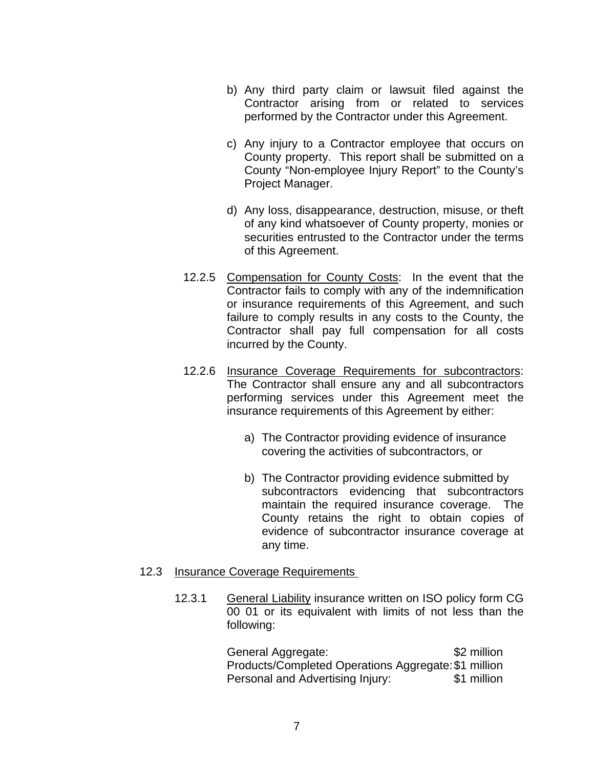- b) Any third party claim or lawsuit filed against the Contractor arising from or related to services performed by the Contractor under this Agreement.
- c) Any injury to a Contractor employee that occurs on County property. This report shall be submitted on a County "Non-employee Injury Report" to the County's Project Manager.
- d) Any loss, disappearance, destruction, misuse, or theft of any kind whatsoever of County property, monies or securities entrusted to the Contractor under the terms of this Agreement.
- 12.2.5 Compensation for County Costs: In the event that the Contractor fails to comply with any of the indemnification or insurance requirements of this Agreement, and such failure to comply results in any costs to the County, the Contractor shall pay full compensation for all costs incurred by the County.
- 12.2.6 Insurance Coverage Requirements for subcontractors: The Contractor shall ensure any and all subcontractors performing services under this Agreement meet the insurance requirements of this Agreement by either:
	- a) The Contractor providing evidence of insurance covering the activities of subcontractors, or
	- b) The Contractor providing evidence submitted by subcontractors evidencing that subcontractors maintain the required insurance coverage. The County retains the right to obtain copies of evidence of subcontractor insurance coverage at any time.

## 12.3 Insurance Coverage Requirements

 12.3.1 General Liability insurance written on ISO policy form CG 00 01 or its equivalent with limits of not less than the following:

> General Aggregate:  $\sim$  \$2 million Products/Completed Operations Aggregate: \$1 million Personal and Advertising Injury: \$1 million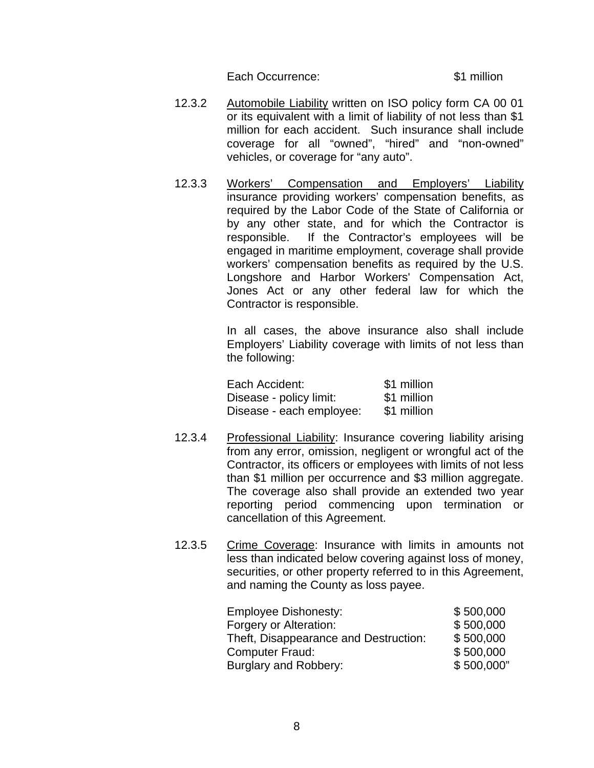Each Occurrence:  $\blacksquare$  \$1 million

- 12.3.2 Automobile Liability written on ISO policy form CA 00 01 or its equivalent with a limit of liability of not less than \$1 million for each accident. Such insurance shall include coverage for all "owned", "hired" and "non-owned" vehicles, or coverage for "any auto".
- 12.3.3 Workers' Compensation and Employers' Liability insurance providing workers' compensation benefits, as required by the Labor Code of the State of California or by any other state, and for which the Contractor is responsible. If the Contractor's employees will be engaged in maritime employment, coverage shall provide workers' compensation benefits as required by the U.S. Longshore and Harbor Workers' Compensation Act, Jones Act or any other federal law for which the Contractor is responsible.

 In all cases, the above insurance also shall include Employers' Liability coverage with limits of not less than the following:

| Each Accident:           | \$1 million |
|--------------------------|-------------|
| Disease - policy limit:  | \$1 million |
| Disease - each employee: | \$1 million |

- 12.3.4 Professional Liability: Insurance covering liability arising from any error, omission, negligent or wrongful act of the Contractor, its officers or employees with limits of not less than \$1 million per occurrence and \$3 million aggregate. The coverage also shall provide an extended two year reporting period commencing upon termination or cancellation of this Agreement.
- 12.3.5 Crime Coverage: Insurance with limits in amounts not less than indicated below covering against loss of money, securities, or other property referred to in this Agreement, and naming the County as loss payee.

| <b>Employee Dishonesty:</b>           | \$500,000  |
|---------------------------------------|------------|
| Forgery or Alteration:                | \$500,000  |
| Theft, Disappearance and Destruction: | \$500,000  |
| <b>Computer Fraud:</b>                | \$500,000  |
| Burglary and Robbery:                 | \$500,000" |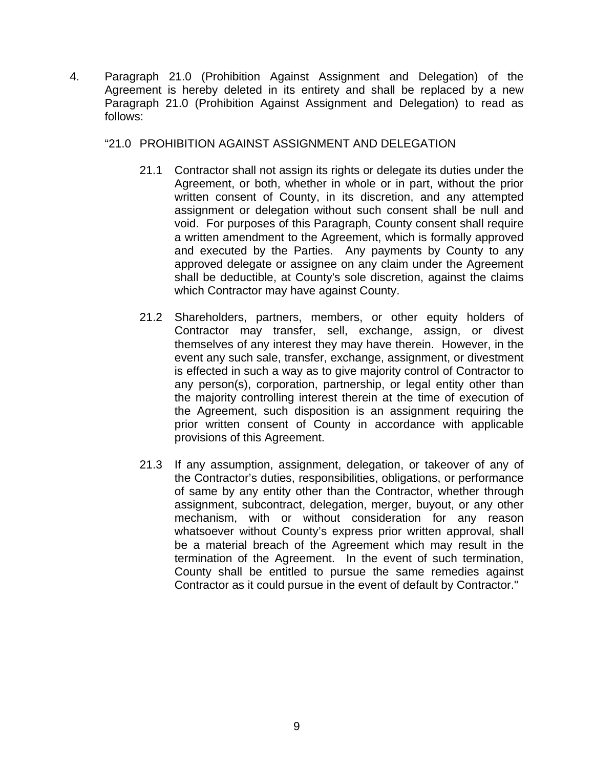- 4. Paragraph 21.0 (Prohibition Against Assignment and Delegation) of the Agreement is hereby deleted in its entirety and shall be replaced by a new Paragraph 21.0 (Prohibition Against Assignment and Delegation) to read as follows:
	- "21.0 PROHIBITION AGAINST ASSIGNMENT AND DELEGATION
		- 21.1 Contractor shall not assign its rights or delegate its duties under the Agreement, or both, whether in whole or in part, without the prior written consent of County, in its discretion, and any attempted assignment or delegation without such consent shall be null and void. For purposes of this Paragraph, County consent shall require a written amendment to the Agreement, which is formally approved and executed by the Parties. Any payments by County to any approved delegate or assignee on any claim under the Agreement shall be deductible, at County's sole discretion, against the claims which Contractor may have against County.
		- 21.2 Shareholders, partners, members, or other equity holders of Contractor may transfer, sell, exchange, assign, or divest themselves of any interest they may have therein. However, in the event any such sale, transfer, exchange, assignment, or divestment is effected in such a way as to give majority control of Contractor to any person(s), corporation, partnership, or legal entity other than the majority controlling interest therein at the time of execution of the Agreement, such disposition is an assignment requiring the prior written consent of County in accordance with applicable provisions of this Agreement.
		- 21.3 If any assumption, assignment, delegation, or takeover of any of the Contractor's duties, responsibilities, obligations, or performance of same by any entity other than the Contractor, whether through assignment, subcontract, delegation, merger, buyout, or any other mechanism, with or without consideration for any reason whatsoever without County's express prior written approval, shall be a material breach of the Agreement which may result in the termination of the Agreement. In the event of such termination, County shall be entitled to pursue the same remedies against Contractor as it could pursue in the event of default by Contractor."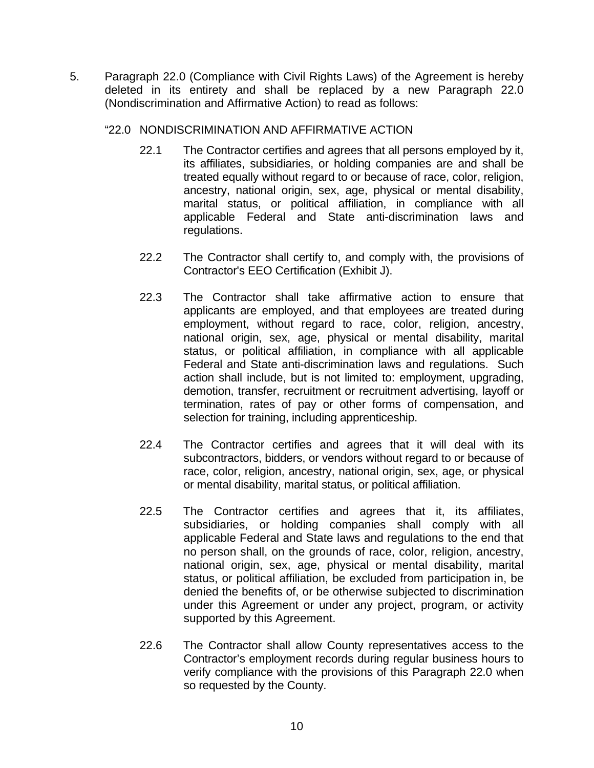5. Paragraph 22.0 (Compliance with Civil Rights Laws) of the Agreement is hereby deleted in its entirety and shall be replaced by a new Paragraph 22.0 (Nondiscrimination and Affirmative Action) to read as follows:

## "22.0 NONDISCRIMINATION AND AFFIRMATIVE ACTION

- 22.1 The Contractor certifies and agrees that all persons employed by it, its affiliates, subsidiaries, or holding companies are and shall be treated equally without regard to or because of race, color, religion, ancestry, national origin, sex, age, physical or mental disability, marital status, or political affiliation, in compliance with all applicable Federal and State anti-discrimination laws and regulations.
- 22.2 The Contractor shall certify to, and comply with, the provisions of Contractor's EEO Certification (Exhibit J).
- 22.3 The Contractor shall take affirmative action to ensure that applicants are employed, and that employees are treated during employment, without regard to race, color, religion, ancestry, national origin, sex, age, physical or mental disability, marital status, or political affiliation, in compliance with all applicable Federal and State anti-discrimination laws and regulations. Such action shall include, but is not limited to: employment, upgrading, demotion, transfer, recruitment or recruitment advertising, layoff or termination, rates of pay or other forms of compensation, and selection for training, including apprenticeship.
- 22.4 The Contractor certifies and agrees that it will deal with its subcontractors, bidders, or vendors without regard to or because of race, color, religion, ancestry, national origin, sex, age, or physical or mental disability, marital status, or political affiliation.
- 22.5 The Contractor certifies and agrees that it, its affiliates, subsidiaries, or holding companies shall comply with all applicable Federal and State laws and regulations to the end that no person shall, on the grounds of race, color, religion, ancestry, national origin, sex, age, physical or mental disability, marital status, or political affiliation, be excluded from participation in, be denied the benefits of, or be otherwise subjected to discrimination under this Agreement or under any project, program, or activity supported by this Agreement.
- 22.6 The Contractor shall allow County representatives access to the Contractor's employment records during regular business hours to verify compliance with the provisions of this Paragraph 22.0 when so requested by the County.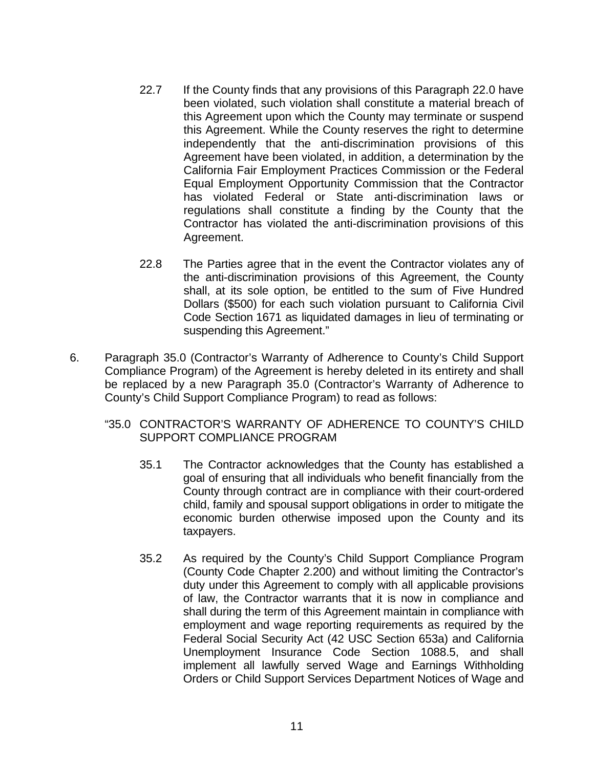- 22.7 If the County finds that any provisions of this Paragraph 22.0 have been violated, such violation shall constitute a material breach of this Agreement upon which the County may terminate or suspend this Agreement. While the County reserves the right to determine independently that the anti-discrimination provisions of this Agreement have been violated, in addition, a determination by the California Fair Employment Practices Commission or the Federal Equal Employment Opportunity Commission that the Contractor has violated Federal or State anti-discrimination laws or regulations shall constitute a finding by the County that the Contractor has violated the anti-discrimination provisions of this Agreement.
- 22.8 The Parties agree that in the event the Contractor violates any of the anti-discrimination provisions of this Agreement, the County shall, at its sole option, be entitled to the sum of Five Hundred Dollars (\$500) for each such violation pursuant to California Civil Code Section 1671 as liquidated damages in lieu of terminating or suspending this Agreement."
- 6. Paragraph 35.0 (Contractor's Warranty of Adherence to County's Child Support Compliance Program) of the Agreement is hereby deleted in its entirety and shall be replaced by a new Paragraph 35.0 (Contractor's Warranty of Adherence to County's Child Support Compliance Program) to read as follows:
	- "35.0 CONTRACTOR'S WARRANTY OF ADHERENCE TO COUNTY'S CHILD SUPPORT COMPLIANCE PROGRAM
		- 35.1 The Contractor acknowledges that the County has established a goal of ensuring that all individuals who benefit financially from the County through contract are in compliance with their court-ordered child, family and spousal support obligations in order to mitigate the economic burden otherwise imposed upon the County and its taxpayers.
		- 35.2 As required by the County's Child Support Compliance Program (County Code Chapter 2.200) and without limiting the Contractor's duty under this Agreement to comply with all applicable provisions of law, the Contractor warrants that it is now in compliance and shall during the term of this Agreement maintain in compliance with employment and wage reporting requirements as required by the Federal Social Security Act (42 USC Section 653a) and California Unemployment Insurance Code Section 1088.5, and shall implement all lawfully served Wage and Earnings Withholding Orders or Child Support Services Department Notices of Wage and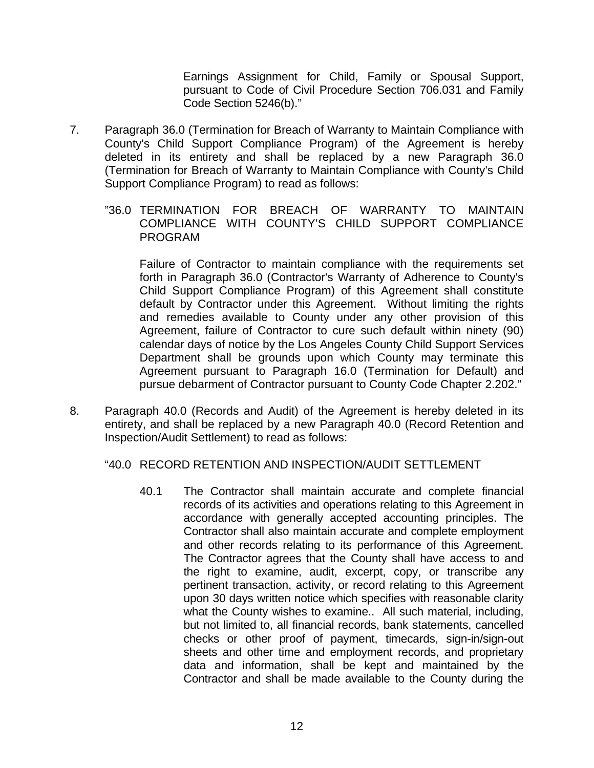Earnings Assignment for Child, Family or Spousal Support, pursuant to Code of Civil Procedure Section 706.031 and Family Code Section 5246(b)."

- 7. Paragraph 36.0 (Termination for Breach of Warranty to Maintain Compliance with County's Child Support Compliance Program) of the Agreement is hereby deleted in its entirety and shall be replaced by a new Paragraph 36.0 (Termination for Breach of Warranty to Maintain Compliance with County's Child Support Compliance Program) to read as follows:
	- "36.0 TERMINATION FOR BREACH OF WARRANTY TO MAINTAIN COMPLIANCE WITH COUNTY'S CHILD SUPPORT COMPLIANCE PROGRAM

 Failure of Contractor to maintain compliance with the requirements set forth in Paragraph 36.0 (Contractor's Warranty of Adherence to County's Child Support Compliance Program) of this Agreement shall constitute default by Contractor under this Agreement. Without limiting the rights and remedies available to County under any other provision of this Agreement, failure of Contractor to cure such default within ninety (90) calendar days of notice by the Los Angeles County Child Support Services Department shall be grounds upon which County may terminate this Agreement pursuant to Paragraph 16.0 (Termination for Default) and pursue debarment of Contractor pursuant to County Code Chapter 2.202."

8. Paragraph 40.0 (Records and Audit) of the Agreement is hereby deleted in its entirety, and shall be replaced by a new Paragraph 40.0 (Record Retention and Inspection/Audit Settlement) to read as follows:

"40.0 RECORD RETENTION AND INSPECTION/AUDIT SETTLEMENT

40.1 The Contractor shall maintain accurate and complete financial records of its activities and operations relating to this Agreement in accordance with generally accepted accounting principles. The Contractor shall also maintain accurate and complete employment and other records relating to its performance of this Agreement. The Contractor agrees that the County shall have access to and the right to examine, audit, excerpt, copy, or transcribe any pertinent transaction, activity, or record relating to this Agreement upon 30 days written notice which specifies with reasonable clarity what the County wishes to examine.. All such material, including, but not limited to, all financial records, bank statements, cancelled checks or other proof of payment, timecards, sign-in/sign-out sheets and other time and employment records, and proprietary data and information, shall be kept and maintained by the Contractor and shall be made available to the County during the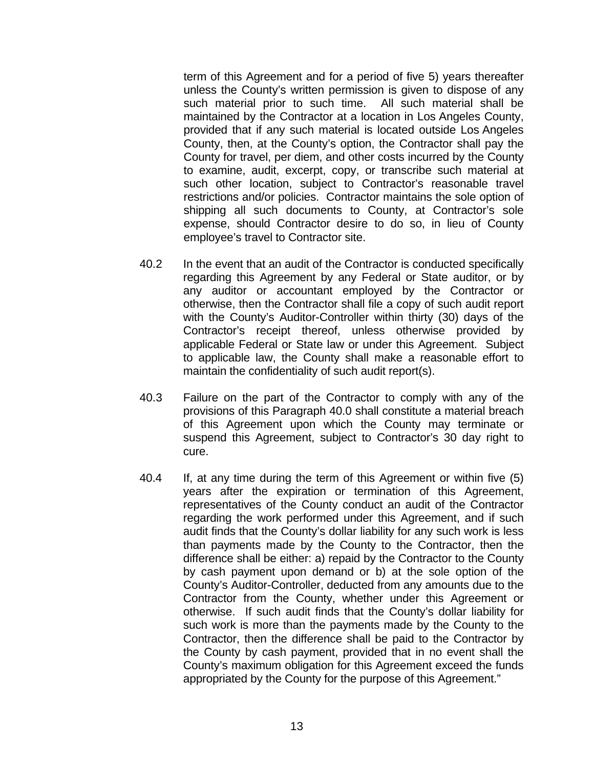term of this Agreement and for a period of five 5) years thereafter unless the County's written permission is given to dispose of any such material prior to such time. All such material shall be maintained by the Contractor at a location in Los Angeles County, provided that if any such material is located outside Los Angeles County, then, at the County's option, the Contractor shall pay the County for travel, per diem, and other costs incurred by the County to examine, audit, excerpt, copy, or transcribe such material at such other location, subject to Contractor's reasonable travel restrictions and/or policies. Contractor maintains the sole option of shipping all such documents to County, at Contractor's sole expense, should Contractor desire to do so, in lieu of County employee's travel to Contractor site.

- 40.2 In the event that an audit of the Contractor is conducted specifically regarding this Agreement by any Federal or State auditor, or by any auditor or accountant employed by the Contractor or otherwise, then the Contractor shall file a copy of such audit report with the County's Auditor-Controller within thirty (30) days of the Contractor's receipt thereof, unless otherwise provided by applicable Federal or State law or under this Agreement. Subject to applicable law, the County shall make a reasonable effort to maintain the confidentiality of such audit report(s).
- 40.3 Failure on the part of the Contractor to comply with any of the provisions of this Paragraph 40.0 shall constitute a material breach of this Agreement upon which the County may terminate or suspend this Agreement, subject to Contractor's 30 day right to cure.
- 40.4 If, at any time during the term of this Agreement or within five (5) years after the expiration or termination of this Agreement, representatives of the County conduct an audit of the Contractor regarding the work performed under this Agreement, and if such audit finds that the County's dollar liability for any such work is less than payments made by the County to the Contractor, then the difference shall be either: a) repaid by the Contractor to the County by cash payment upon demand or b) at the sole option of the County's Auditor-Controller, deducted from any amounts due to the Contractor from the County, whether under this Agreement or otherwise. If such audit finds that the County's dollar liability for such work is more than the payments made by the County to the Contractor, then the difference shall be paid to the Contractor by the County by cash payment, provided that in no event shall the County's maximum obligation for this Agreement exceed the funds appropriated by the County for the purpose of this Agreement."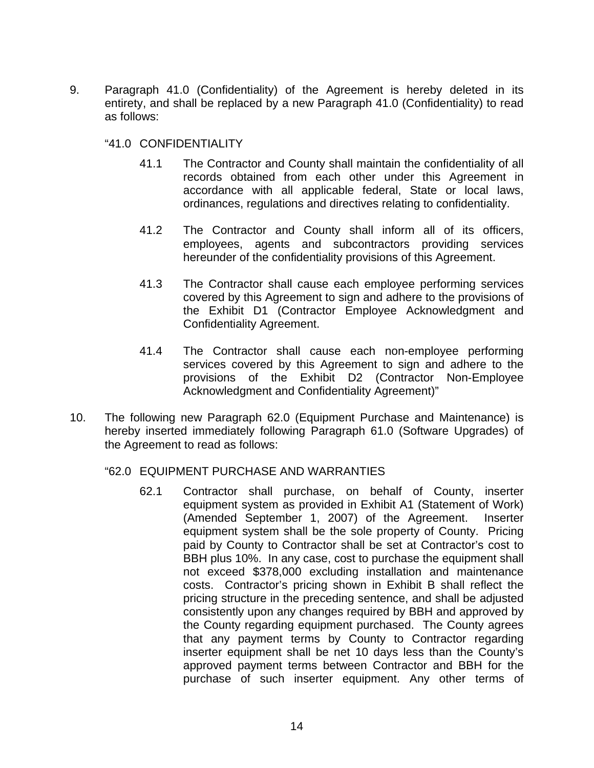9. Paragraph 41.0 (Confidentiality) of the Agreement is hereby deleted in its entirety, and shall be replaced by a new Paragraph 41.0 (Confidentiality) to read as follows:

## "41.0 CONFIDENTIALITY

- 41.1 The Contractor and County shall maintain the confidentiality of all records obtained from each other under this Agreement in accordance with all applicable federal, State or local laws, ordinances, regulations and directives relating to confidentiality.
- 41.2 The Contractor and County shall inform all of its officers, employees, agents and subcontractors providing services hereunder of the confidentiality provisions of this Agreement.
- 41.3 The Contractor shall cause each employee performing services covered by this Agreement to sign and adhere to the provisions of the Exhibit D1 (Contractor Employee Acknowledgment and Confidentiality Agreement.
- 41.4 The Contractor shall cause each non-employee performing services covered by this Agreement to sign and adhere to the provisions of the Exhibit D2 (Contractor Non-Employee Acknowledgment and Confidentiality Agreement)"
- 10. The following new Paragraph 62.0 (Equipment Purchase and Maintenance) is hereby inserted immediately following Paragraph 61.0 (Software Upgrades) of the Agreement to read as follows:

## "62.0 EQUIPMENT PURCHASE AND WARRANTIES

62.1 Contractor shall purchase, on behalf of County, inserter equipment system as provided in Exhibit A1 (Statement of Work) (Amended September 1, 2007) of the Agreement. Inserter equipment system shall be the sole property of County. Pricing paid by County to Contractor shall be set at Contractor's cost to BBH plus 10%. In any case, cost to purchase the equipment shall not exceed \$378,000 excluding installation and maintenance costs. Contractor's pricing shown in Exhibit B shall reflect the pricing structure in the preceding sentence, and shall be adjusted consistently upon any changes required by BBH and approved by the County regarding equipment purchased. The County agrees that any payment terms by County to Contractor regarding inserter equipment shall be net 10 days less than the County's approved payment terms between Contractor and BBH for the purchase of such inserter equipment. Any other terms of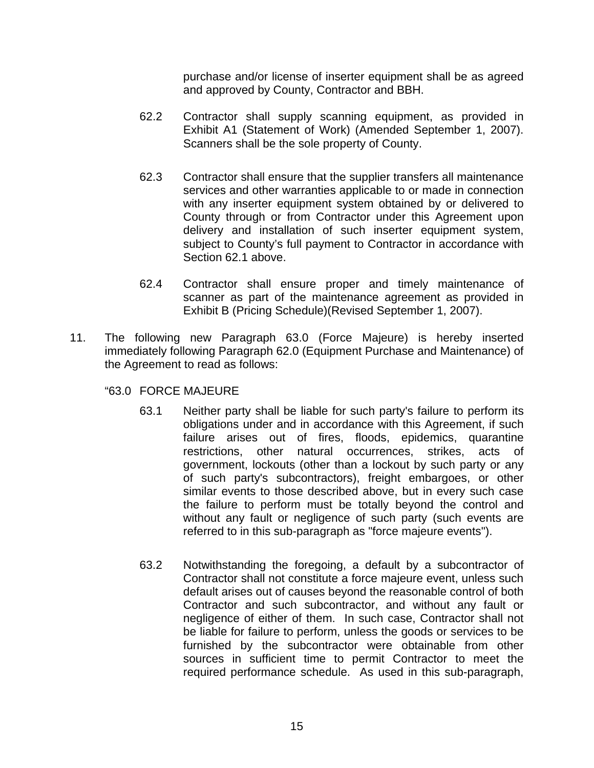purchase and/or license of inserter equipment shall be as agreed and approved by County, Contractor and BBH.

- 62.2 Contractor shall supply scanning equipment, as provided in Exhibit A1 (Statement of Work) (Amended September 1, 2007). Scanners shall be the sole property of County.
- 62.3 Contractor shall ensure that the supplier transfers all maintenance services and other warranties applicable to or made in connection with any inserter equipment system obtained by or delivered to County through or from Contractor under this Agreement upon delivery and installation of such inserter equipment system, subject to County's full payment to Contractor in accordance with Section 62.1 above.
- 62.4 Contractor shall ensure proper and timely maintenance of scanner as part of the maintenance agreement as provided in Exhibit B (Pricing Schedule)(Revised September 1, 2007).
- 11. The following new Paragraph 63.0 (Force Majeure) is hereby inserted immediately following Paragraph 62.0 (Equipment Purchase and Maintenance) of the Agreement to read as follows:

"63.0 FORCE MAJEURE

- 63.1 Neither party shall be liable for such party's failure to perform its obligations under and in accordance with this Agreement, if such failure arises out of fires, floods, epidemics, quarantine restrictions, other natural occurrences, strikes, acts of government, lockouts (other than a lockout by such party or any of such party's subcontractors), freight embargoes, or other similar events to those described above, but in every such case the failure to perform must be totally beyond the control and without any fault or negligence of such party (such events are referred to in this sub-paragraph as "force majeure events").
- 63.2 Notwithstanding the foregoing, a default by a subcontractor of Contractor shall not constitute a force majeure event, unless such default arises out of causes beyond the reasonable control of both Contractor and such subcontractor, and without any fault or negligence of either of them. In such case, Contractor shall not be liable for failure to perform, unless the goods or services to be furnished by the subcontractor were obtainable from other sources in sufficient time to permit Contractor to meet the required performance schedule. As used in this sub-paragraph,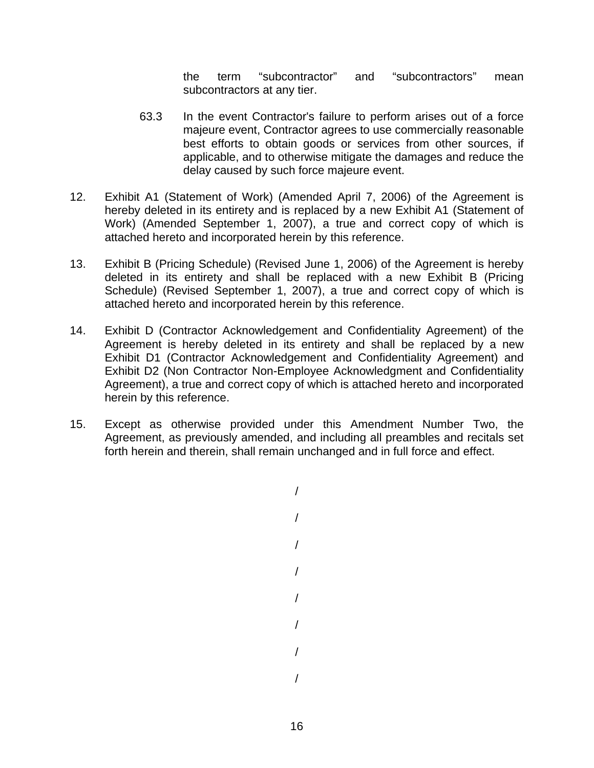the term "subcontractor" and "subcontractors" mean subcontractors at any tier.

- 63.3 In the event Contractor's failure to perform arises out of a force majeure event, Contractor agrees to use commercially reasonable best efforts to obtain goods or services from other sources, if applicable, and to otherwise mitigate the damages and reduce the delay caused by such force majeure event.
- 12. Exhibit A1 (Statement of Work) (Amended April 7, 2006) of the Agreement is hereby deleted in its entirety and is replaced by a new Exhibit A1 (Statement of Work) (Amended September 1, 2007), a true and correct copy of which is attached hereto and incorporated herein by this reference.
- 13. Exhibit B (Pricing Schedule) (Revised June 1, 2006) of the Agreement is hereby deleted in its entirety and shall be replaced with a new Exhibit B (Pricing Schedule) (Revised September 1, 2007), a true and correct copy of which is attached hereto and incorporated herein by this reference.
- 14. Exhibit D (Contractor Acknowledgement and Confidentiality Agreement) of the Agreement is hereby deleted in its entirety and shall be replaced by a new Exhibit D1 (Contractor Acknowledgement and Confidentiality Agreement) and Exhibit D2 (Non Contractor Non-Employee Acknowledgment and Confidentiality Agreement), a true and correct copy of which is attached hereto and incorporated herein by this reference.
- 15. Except as otherwise provided under this Amendment Number Two, the Agreement, as previously amended, and including all preambles and recitals set forth herein and therein, shall remain unchanged and in full force and effect.

/

/ / / / / / /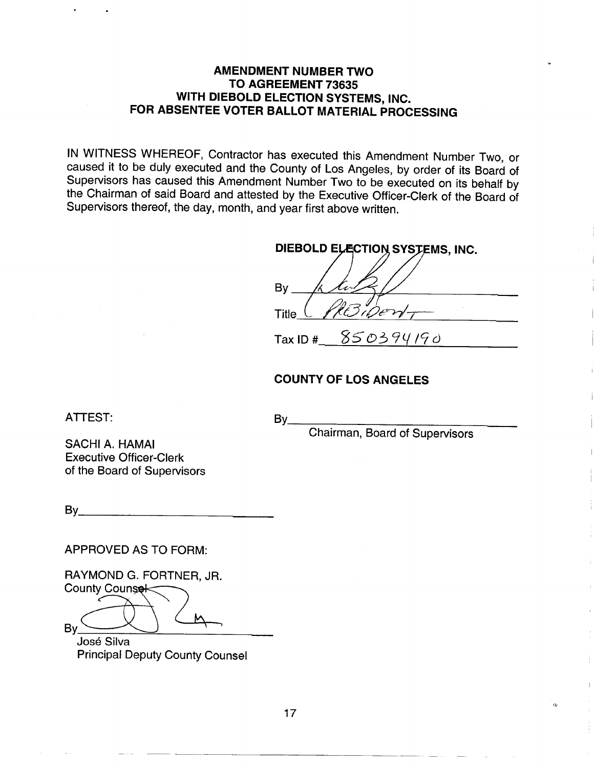## **AMENDMENT NUMBER TWO** TO AGREEMENT 73635 WITH DIEBOLD ELECTION SYSTEMS, INC. FOR ABSENTEE VOTER BALLOT MATERIAL PROCESSING

IN WITNESS WHEREOF, Contractor has executed this Amendment Number Two, or caused it to be duly executed and the County of Los Angeles, by order of its Board of Supervisors has caused this Amendment Number Two to be executed on its behalf by the Chairman of said Board and attested by the Executive Officer-Clerk of the Board of Supervisors thereof, the day, month, and year first above written.

| DIEBOLD ELECTION SYSTEMS, INC. |  |  |  |
|--------------------------------|--|--|--|
|                                |  |  |  |
| By                             |  |  |  |
| WF.<br><b>Title</b>            |  |  |  |
| 850394190<br>Tax ID $#$        |  |  |  |

Chairman, Board of Supervisors

 $\alpha$ 

## **COUNTY OF LOS ANGELES**

**ATTEST:** 

SACHI A. HAMAI **Executive Officer-Clerk** of the Board of Supervisors

APPROVED AS TO FORM:

RAYMOND G. FORTNER, JR. County Counsel **Bv** 

José Silva **Principal Deputy County Counsel** 

 $By$ <sub>-</sub>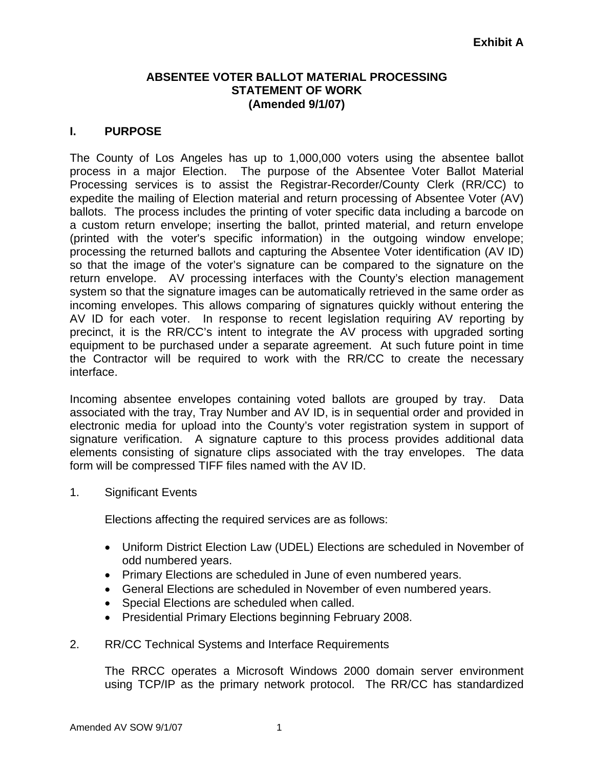## **ABSENTEE VOTER BALLOT MATERIAL PROCESSING STATEMENT OF WORK (Amended 9/1/07)**

## **I. PURPOSE**

The County of Los Angeles has up to 1,000,000 voters using the absentee ballot process in a major Election. The purpose of the Absentee Voter Ballot Material Processing services is to assist the Registrar-Recorder/County Clerk (RR/CC) to expedite the mailing of Election material and return processing of Absentee Voter (AV) ballots. The process includes the printing of voter specific data including a barcode on a custom return envelope; inserting the ballot, printed material, and return envelope (printed with the voter's specific information) in the outgoing window envelope; processing the returned ballots and capturing the Absentee Voter identification (AV ID) so that the image of the voter's signature can be compared to the signature on the return envelope. AV processing interfaces with the County's election management system so that the signature images can be automatically retrieved in the same order as incoming envelopes. This allows comparing of signatures quickly without entering the AV ID for each voter. In response to recent legislation requiring AV reporting by precinct, it is the RR/CC's intent to integrate the AV process with upgraded sorting equipment to be purchased under a separate agreement. At such future point in time the Contractor will be required to work with the RR/CC to create the necessary interface.

Incoming absentee envelopes containing voted ballots are grouped by tray. Data associated with the tray, Tray Number and AV ID, is in sequential order and provided in electronic media for upload into the County's voter registration system in support of signature verification. A signature capture to this process provides additional data elements consisting of signature clips associated with the tray envelopes. The data form will be compressed TIFF files named with the AV ID.

1. Significant Events

Elections affecting the required services are as follows:

- Uniform District Election Law (UDEL) Elections are scheduled in November of odd numbered years.
- Primary Elections are scheduled in June of even numbered years.
- General Elections are scheduled in November of even numbered years.
- Special Elections are scheduled when called.
- Presidential Primary Elections beginning February 2008.
- 2. RR/CC Technical Systems and Interface Requirements

The RRCC operates a Microsoft Windows 2000 domain server environment using TCP/IP as the primary network protocol. The RR/CC has standardized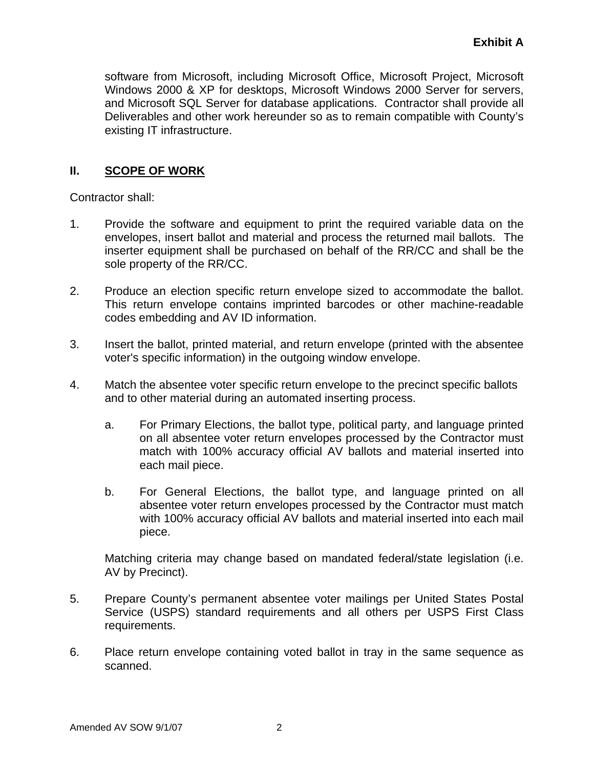software from Microsoft, including Microsoft Office, Microsoft Project, Microsoft Windows 2000 & XP for desktops, Microsoft Windows 2000 Server for servers, and Microsoft SQL Server for database applications. Contractor shall provide all Deliverables and other work hereunder so as to remain compatible with County's existing IT infrastructure.

## **II. SCOPE OF WORK**

Contractor shall:

- 1. Provide the software and equipment to print the required variable data on the envelopes, insert ballot and material and process the returned mail ballots. The inserter equipment shall be purchased on behalf of the RR/CC and shall be the sole property of the RR/CC.
- 2. Produce an election specific return envelope sized to accommodate the ballot. This return envelope contains imprinted barcodes or other machine-readable codes embedding and AV ID information.
- 3. Insert the ballot, printed material, and return envelope (printed with the absentee voter's specific information) in the outgoing window envelope.
- 4. Match the absentee voter specific return envelope to the precinct specific ballots and to other material during an automated inserting process.
	- a. For Primary Elections, the ballot type, political party, and language printed on all absentee voter return envelopes processed by the Contractor must match with 100% accuracy official AV ballots and material inserted into each mail piece.
	- b. For General Elections, the ballot type, and language printed on all absentee voter return envelopes processed by the Contractor must match with 100% accuracy official AV ballots and material inserted into each mail piece.

Matching criteria may change based on mandated federal/state legislation (i.e. AV by Precinct).

- 5. Prepare County's permanent absentee voter mailings per United States Postal Service (USPS) standard requirements and all others per USPS First Class requirements.
- 6. Place return envelope containing voted ballot in tray in the same sequence as scanned.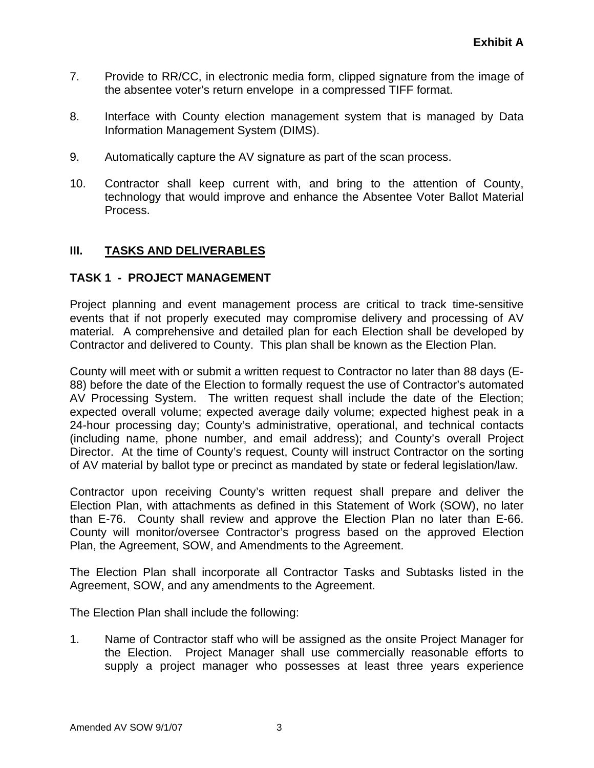- 7. Provide to RR/CC, in electronic media form, clipped signature from the image of the absentee voter's return envelope in a compressed TIFF format.
- 8. Interface with County election management system that is managed by Data Information Management System (DIMS).
- 9. Automatically capture the AV signature as part of the scan process.
- 10. Contractor shall keep current with, and bring to the attention of County, technology that would improve and enhance the Absentee Voter Ballot Material Process.

## **III. TASKS AND DELIVERABLES**

## **TASK 1 - PROJECT MANAGEMENT**

Project planning and event management process are critical to track time-sensitive events that if not properly executed may compromise delivery and processing of AV material. A comprehensive and detailed plan for each Election shall be developed by Contractor and delivered to County. This plan shall be known as the Election Plan.

County will meet with or submit a written request to Contractor no later than 88 days (E-88) before the date of the Election to formally request the use of Contractor's automated AV Processing System. The written request shall include the date of the Election; expected overall volume; expected average daily volume; expected highest peak in a 24-hour processing day; County's administrative, operational, and technical contacts (including name, phone number, and email address); and County's overall Project Director. At the time of County's request, County will instruct Contractor on the sorting of AV material by ballot type or precinct as mandated by state or federal legislation/law.

Contractor upon receiving County's written request shall prepare and deliver the Election Plan, with attachments as defined in this Statement of Work (SOW), no later than E-76. County shall review and approve the Election Plan no later than E-66. County will monitor/oversee Contractor's progress based on the approved Election Plan, the Agreement, SOW, and Amendments to the Agreement.

The Election Plan shall incorporate all Contractor Tasks and Subtasks listed in the Agreement, SOW, and any amendments to the Agreement.

The Election Plan shall include the following:

1. Name of Contractor staff who will be assigned as the onsite Project Manager for the Election. Project Manager shall use commercially reasonable efforts to supply a project manager who possesses at least three years experience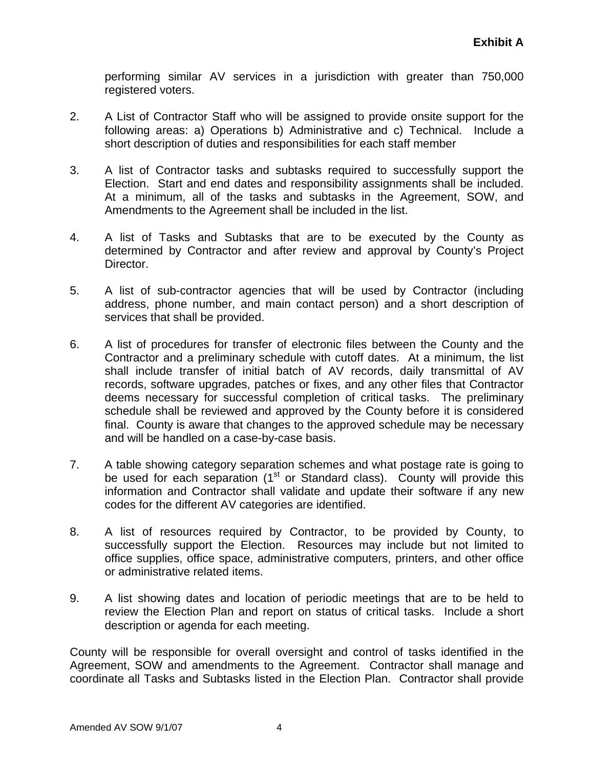performing similar AV services in a jurisdiction with greater than 750,000 registered voters.

- 2. A List of Contractor Staff who will be assigned to provide onsite support for the following areas: a) Operations b) Administrative and c) Technical. Include a short description of duties and responsibilities for each staff member
- 3. A list of Contractor tasks and subtasks required to successfully support the Election. Start and end dates and responsibility assignments shall be included. At a minimum, all of the tasks and subtasks in the Agreement, SOW, and Amendments to the Agreement shall be included in the list.
- 4. A list of Tasks and Subtasks that are to be executed by the County as determined by Contractor and after review and approval by County's Project Director.
- 5. A list of sub-contractor agencies that will be used by Contractor (including address, phone number, and main contact person) and a short description of services that shall be provided.
- 6. A list of procedures for transfer of electronic files between the County and the Contractor and a preliminary schedule with cutoff dates. At a minimum, the list shall include transfer of initial batch of AV records, daily transmittal of AV records, software upgrades, patches or fixes, and any other files that Contractor deems necessary for successful completion of critical tasks. The preliminary schedule shall be reviewed and approved by the County before it is considered final. County is aware that changes to the approved schedule may be necessary and will be handled on a case-by-case basis.
- 7. A table showing category separation schemes and what postage rate is going to be used for each separation  $(1<sup>st</sup>$  or Standard class). County will provide this information and Contractor shall validate and update their software if any new codes for the different AV categories are identified.
- 8. A list of resources required by Contractor, to be provided by County, to successfully support the Election. Resources may include but not limited to office supplies, office space, administrative computers, printers, and other office or administrative related items.
- 9. A list showing dates and location of periodic meetings that are to be held to review the Election Plan and report on status of critical tasks. Include a short description or agenda for each meeting.

County will be responsible for overall oversight and control of tasks identified in the Agreement, SOW and amendments to the Agreement. Contractor shall manage and coordinate all Tasks and Subtasks listed in the Election Plan. Contractor shall provide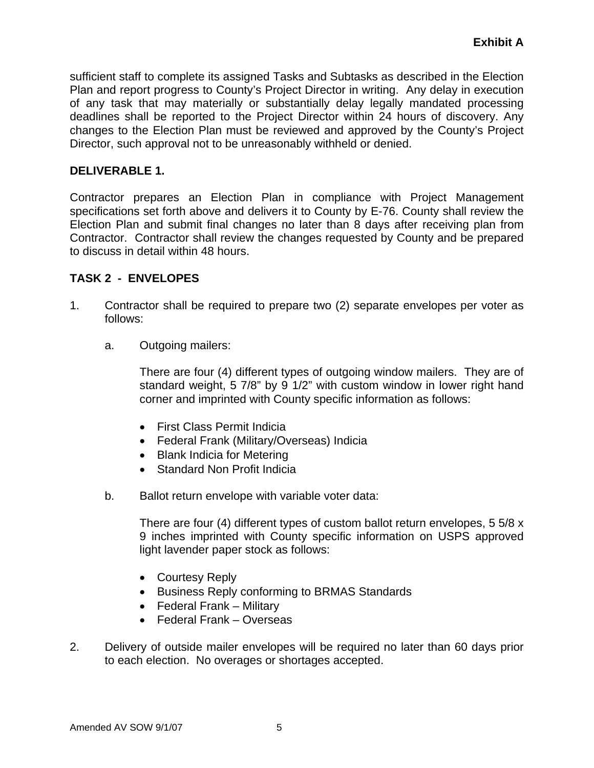sufficient staff to complete its assigned Tasks and Subtasks as described in the Election Plan and report progress to County's Project Director in writing. Any delay in execution of any task that may materially or substantially delay legally mandated processing deadlines shall be reported to the Project Director within 24 hours of discovery. Any changes to the Election Plan must be reviewed and approved by the County's Project Director, such approval not to be unreasonably withheld or denied.

## **DELIVERABLE 1.**

Contractor prepares an Election Plan in compliance with Project Management specifications set forth above and delivers it to County by E-76. County shall review the Election Plan and submit final changes no later than 8 days after receiving plan from Contractor. Contractor shall review the changes requested by County and be prepared to discuss in detail within 48 hours.

## **TASK 2 - ENVELOPES**

- 1. Contractor shall be required to prepare two (2) separate envelopes per voter as follows:
	- a. Outgoing mailers:

 There are four (4) different types of outgoing window mailers. They are of standard weight, 5 7/8" by 9 1/2" with custom window in lower right hand corner and imprinted with County specific information as follows:

- First Class Permit Indicia
- Federal Frank (Military/Overseas) Indicia
- Blank Indicia for Metering
- Standard Non Profit Indicia
- b. Ballot return envelope with variable voter data:

There are four (4) different types of custom ballot return envelopes, 5 5/8 x 9 inches imprinted with County specific information on USPS approved light lavender paper stock as follows:

- Courtesy Reply
- Business Reply conforming to BRMAS Standards
- Federal Frank Military
- Federal Frank Overseas
- 2. Delivery of outside mailer envelopes will be required no later than 60 days prior to each election. No overages or shortages accepted.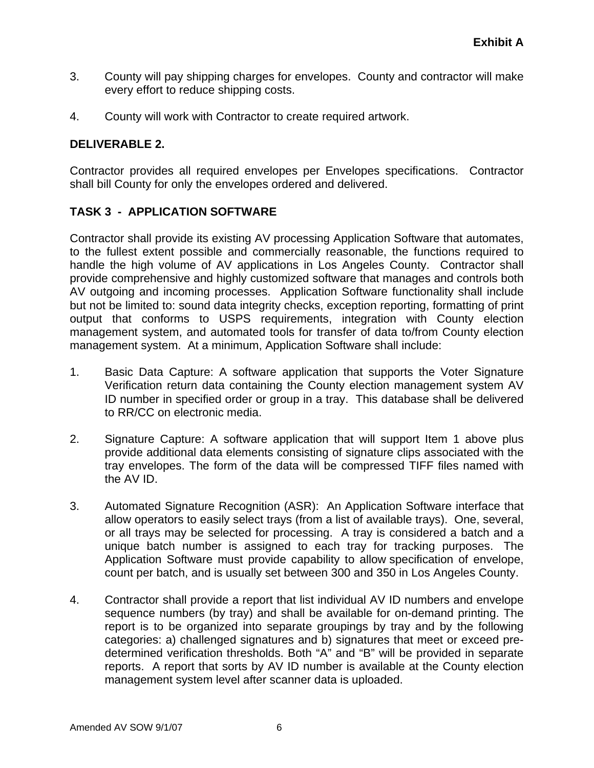- 3. County will pay shipping charges for envelopes. County and contractor will make every effort to reduce shipping costs.
- 4. County will work with Contractor to create required artwork.

## **DELIVERABLE 2.**

Contractor provides all required envelopes per Envelopes specifications. Contractor shall bill County for only the envelopes ordered and delivered.

## **TASK 3 - APPLICATION SOFTWARE**

Contractor shall provide its existing AV processing Application Software that automates, to the fullest extent possible and commercially reasonable, the functions required to handle the high volume of AV applications in Los Angeles County. Contractor shall provide comprehensive and highly customized software that manages and controls both AV outgoing and incoming processes. Application Software functionality shall include but not be limited to: sound data integrity checks, exception reporting, formatting of print output that conforms to USPS requirements, integration with County election management system, and automated tools for transfer of data to/from County election management system. At a minimum, Application Software shall include:

- 1. Basic Data Capture: A software application that supports the Voter Signature Verification return data containing the County election management system AV ID number in specified order or group in a tray. This database shall be delivered to RR/CC on electronic media.
- 2. Signature Capture: A software application that will support Item 1 above plus provide additional data elements consisting of signature clips associated with the tray envelopes. The form of the data will be compressed TIFF files named with the AV ID.
- 3. Automated Signature Recognition (ASR): An Application Software interface that allow operators to easily select trays (from a list of available trays). One, several, or all trays may be selected for processing. A tray is considered a batch and a unique batch number is assigned to each tray for tracking purposes. The Application Software must provide capability to allow specification of envelope, count per batch, and is usually set between 300 and 350 in Los Angeles County.
- 4. Contractor shall provide a report that list individual AV ID numbers and envelope sequence numbers (by tray) and shall be available for on-demand printing. The report is to be organized into separate groupings by tray and by the following categories: a) challenged signatures and b) signatures that meet or exceed predetermined verification thresholds. Both "A" and "B" will be provided in separate reports. A report that sorts by AV ID number is available at the County election management system level after scanner data is uploaded.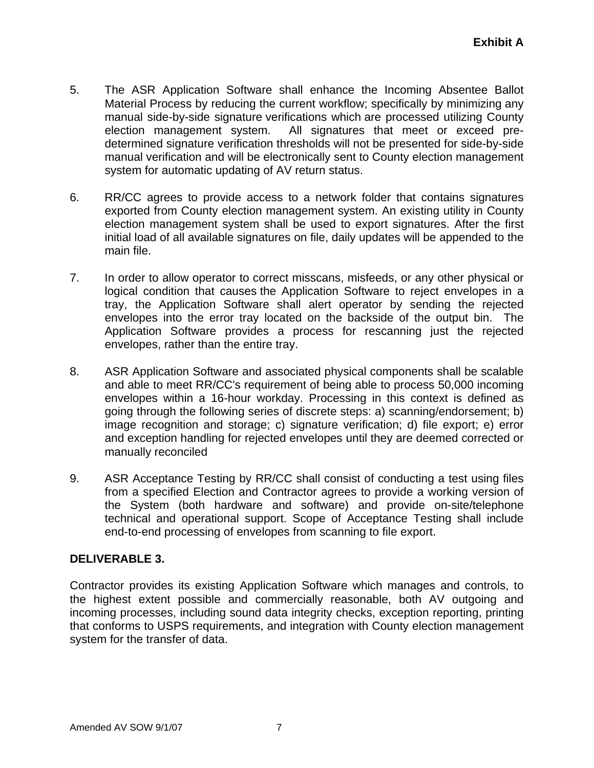- 5. The ASR Application Software shall enhance the Incoming Absentee Ballot Material Process by reducing the current workflow; specifically by minimizing any manual side-by-side signature verifications which are processed utilizing County election management system. All signatures that meet or exceed predetermined signature verification thresholds will not be presented for side-by-side manual verification and will be electronically sent to County election management system for automatic updating of AV return status.
- 6. RR/CC agrees to provide access to a network folder that contains signatures exported from County election management system. An existing utility in County election management system shall be used to export signatures. After the first initial load of all available signatures on file, daily updates will be appended to the main file.
- 7. In order to allow operator to correct misscans, misfeeds, or any other physical or logical condition that causes the Application Software to reject envelopes in a tray, the Application Software shall alert operator by sending the rejected envelopes into the error tray located on the backside of the output bin. The Application Software provides a process for rescanning just the rejected envelopes, rather than the entire tray.
- 8. ASR Application Software and associated physical components shall be scalable and able to meet RR/CC's requirement of being able to process 50,000 incoming envelopes within a 16-hour workday. Processing in this context is defined as going through the following series of discrete steps: a) scanning/endorsement; b) image recognition and storage; c) signature verification; d) file export; e) error and exception handling for rejected envelopes until they are deemed corrected or manually reconciled
- 9. ASR Acceptance Testing by RR/CC shall consist of conducting a test using files from a specified Election and Contractor agrees to provide a working version of the System (both hardware and software) and provide on-site/telephone technical and operational support. Scope of Acceptance Testing shall include end-to-end processing of envelopes from scanning to file export.

# **DELIVERABLE 3.**

Contractor provides its existing Application Software which manages and controls, to the highest extent possible and commercially reasonable, both AV outgoing and incoming processes, including sound data integrity checks, exception reporting, printing that conforms to USPS requirements, and integration with County election management system for the transfer of data.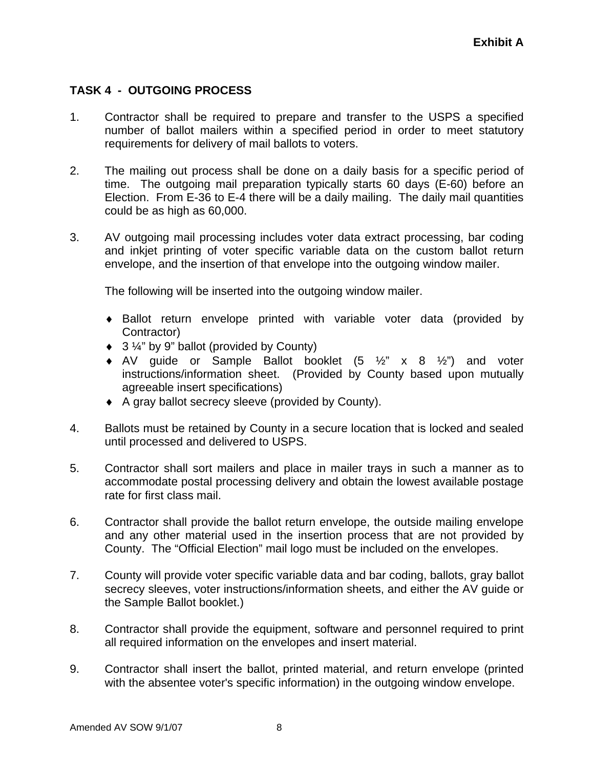# **TASK 4 - OUTGOING PROCESS**

- 1. Contractor shall be required to prepare and transfer to the USPS a specified number of ballot mailers within a specified period in order to meet statutory requirements for delivery of mail ballots to voters.
- 2. The mailing out process shall be done on a daily basis for a specific period of time. The outgoing mail preparation typically starts 60 days (E-60) before an Election. From E-36 to E-4 there will be a daily mailing. The daily mail quantities could be as high as 60,000.
- 3. AV outgoing mail processing includes voter data extract processing, bar coding and inkjet printing of voter specific variable data on the custom ballot return envelope, and the insertion of that envelope into the outgoing window mailer.

The following will be inserted into the outgoing window mailer.

- ♦ Ballot return envelope printed with variable voter data (provided by Contractor)
- ♦ 3 ¼" by 9" ballot (provided by County)
- $\bullet$  AV guide or Sample Ballot booklet  $(5 \frac{1}{2} \times 8 \frac{1}{2})$  and voter instructions/information sheet. (Provided by County based upon mutually agreeable insert specifications)
- ♦ A gray ballot secrecy sleeve (provided by County).
- 4. Ballots must be retained by County in a secure location that is locked and sealed until processed and delivered to USPS.
- 5. Contractor shall sort mailers and place in mailer trays in such a manner as to accommodate postal processing delivery and obtain the lowest available postage rate for first class mail.
- 6. Contractor shall provide the ballot return envelope, the outside mailing envelope and any other material used in the insertion process that are not provided by County. The "Official Election" mail logo must be included on the envelopes.
- 7. County will provide voter specific variable data and bar coding, ballots, gray ballot secrecy sleeves, voter instructions/information sheets, and either the AV guide or the Sample Ballot booklet.)
- 8. Contractor shall provide the equipment, software and personnel required to print all required information on the envelopes and insert material.
- 9. Contractor shall insert the ballot, printed material, and return envelope (printed with the absentee voter's specific information) in the outgoing window envelope.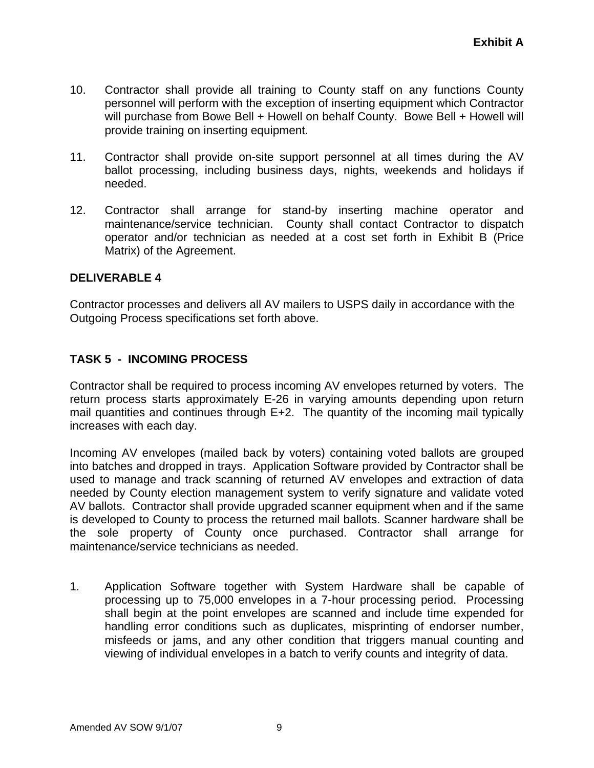- 10. Contractor shall provide all training to County staff on any functions County personnel will perform with the exception of inserting equipment which Contractor will purchase from Bowe Bell + Howell on behalf County. Bowe Bell + Howell will provide training on inserting equipment.
- 11. Contractor shall provide on-site support personnel at all times during the AV ballot processing, including business days, nights, weekends and holidays if needed.
- 12. Contractor shall arrange for stand-by inserting machine operator and maintenance/service technician. County shall contact Contractor to dispatch operator and/or technician as needed at a cost set forth in Exhibit B (Price Matrix) of the Agreement.

Contractor processes and delivers all AV mailers to USPS daily in accordance with the Outgoing Process specifications set forth above.

# **TASK 5 - INCOMING PROCESS**

Contractor shall be required to process incoming AV envelopes returned by voters. The return process starts approximately E-26 in varying amounts depending upon return mail quantities and continues through E+2. The quantity of the incoming mail typically increases with each day.

Incoming AV envelopes (mailed back by voters) containing voted ballots are grouped into batches and dropped in trays. Application Software provided by Contractor shall be used to manage and track scanning of returned AV envelopes and extraction of data needed by County election management system to verify signature and validate voted AV ballots. Contractor shall provide upgraded scanner equipment when and if the same is developed to County to process the returned mail ballots. Scanner hardware shall be the sole property of County once purchased. Contractor shall arrange for maintenance/service technicians as needed.

1. Application Software together with System Hardware shall be capable of processing up to 75,000 envelopes in a 7-hour processing period. Processing shall begin at the point envelopes are scanned and include time expended for handling error conditions such as duplicates, misprinting of endorser number, misfeeds or jams, and any other condition that triggers manual counting and viewing of individual envelopes in a batch to verify counts and integrity of data.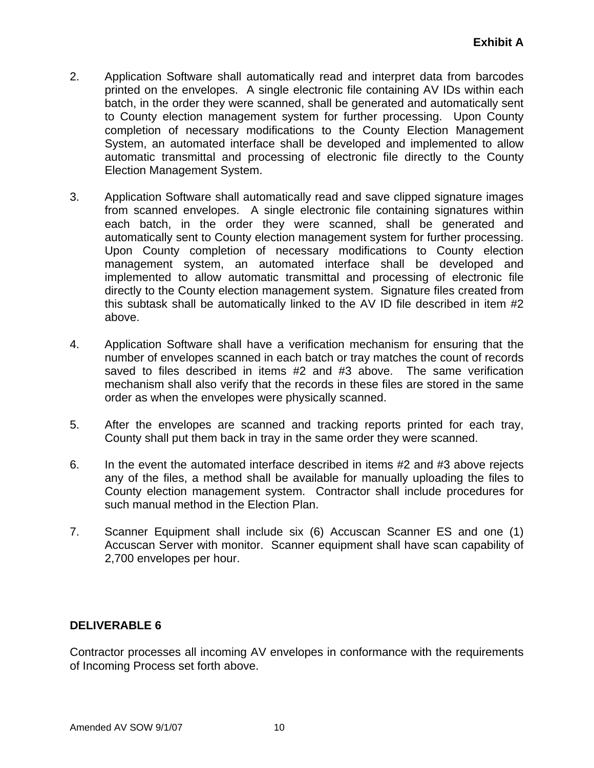- 2. Application Software shall automatically read and interpret data from barcodes printed on the envelopes. A single electronic file containing AV IDs within each batch, in the order they were scanned, shall be generated and automatically sent to County election management system for further processing. Upon County completion of necessary modifications to the County Election Management System, an automated interface shall be developed and implemented to allow automatic transmittal and processing of electronic file directly to the County Election Management System.
- 3. Application Software shall automatically read and save clipped signature images from scanned envelopes. A single electronic file containing signatures within each batch, in the order they were scanned, shall be generated and automatically sent to County election management system for further processing. Upon County completion of necessary modifications to County election management system, an automated interface shall be developed and implemented to allow automatic transmittal and processing of electronic file directly to the County election management system. Signature files created from this subtask shall be automatically linked to the AV ID file described in item #2 above.
- 4. Application Software shall have a verification mechanism for ensuring that the number of envelopes scanned in each batch or tray matches the count of records saved to files described in items #2 and #3 above. The same verification mechanism shall also verify that the records in these files are stored in the same order as when the envelopes were physically scanned.
- 5. After the envelopes are scanned and tracking reports printed for each tray, County shall put them back in tray in the same order they were scanned.
- 6. In the event the automated interface described in items #2 and #3 above rejects any of the files, a method shall be available for manually uploading the files to County election management system. Contractor shall include procedures for such manual method in the Election Plan.
- 7. Scanner Equipment shall include six (6) Accuscan Scanner ES and one (1) Accuscan Server with monitor. Scanner equipment shall have scan capability of 2,700 envelopes per hour.

Contractor processes all incoming AV envelopes in conformance with the requirements of Incoming Process set forth above.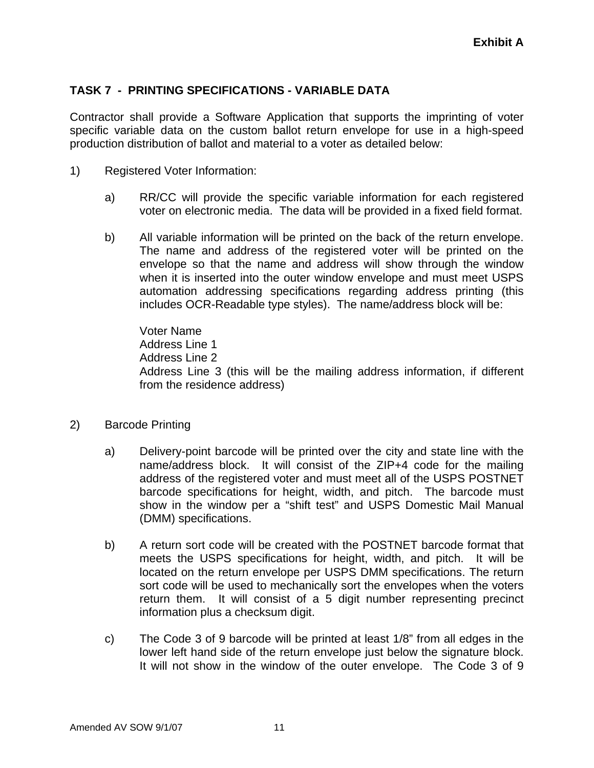# **TASK 7 - PRINTING SPECIFICATIONS - VARIABLE DATA**

Contractor shall provide a Software Application that supports the imprinting of voter specific variable data on the custom ballot return envelope for use in a high-speed production distribution of ballot and material to a voter as detailed below:

- 1) Registered Voter Information:
	- a) RR/CC will provide the specific variable information for each registered voter on electronic media. The data will be provided in a fixed field format.
	- b) All variable information will be printed on the back of the return envelope. The name and address of the registered voter will be printed on the envelope so that the name and address will show through the window when it is inserted into the outer window envelope and must meet USPS automation addressing specifications regarding address printing (this includes OCR-Readable type styles). The name/address block will be:

Voter Name Address Line 1 Address Line 2 Address Line 3 (this will be the mailing address information, if different from the residence address)

- 2) Barcode Printing
	- a) Delivery-point barcode will be printed over the city and state line with the name/address block. It will consist of the ZIP+4 code for the mailing address of the registered voter and must meet all of the USPS POSTNET barcode specifications for height, width, and pitch. The barcode must show in the window per a "shift test" and USPS Domestic Mail Manual (DMM) specifications.
	- b) A return sort code will be created with the POSTNET barcode format that meets the USPS specifications for height, width, and pitch. It will be located on the return envelope per USPS DMM specifications. The return sort code will be used to mechanically sort the envelopes when the voters return them. It will consist of a 5 digit number representing precinct information plus a checksum digit.
	- c) The Code 3 of 9 barcode will be printed at least 1/8" from all edges in the lower left hand side of the return envelope just below the signature block. It will not show in the window of the outer envelope. The Code 3 of 9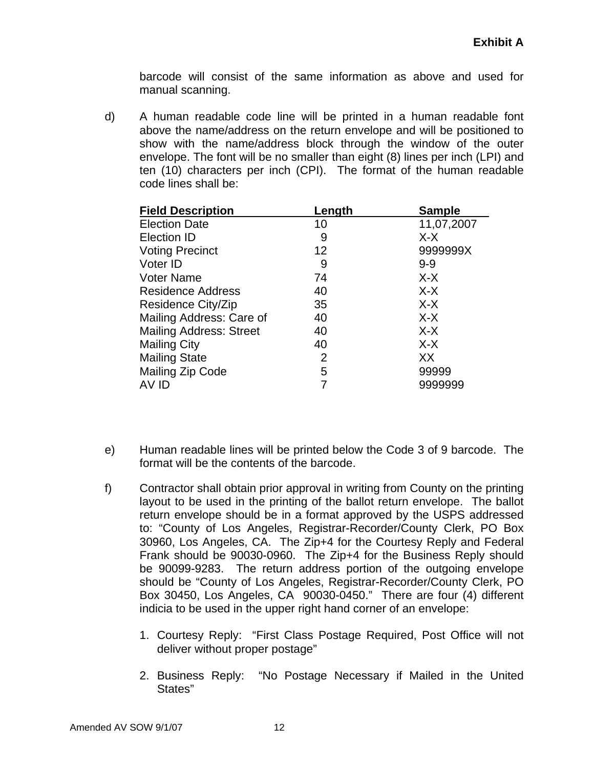barcode will consist of the same information as above and used for manual scanning.

d) A human readable code line will be printed in a human readable font above the name/address on the return envelope and will be positioned to show with the name/address block through the window of the outer envelope. The font will be no smaller than eight (8) lines per inch (LPI) and ten (10) characters per inch (CPI). The format of the human readable code lines shall be:

| <b>Field Description</b>       | Length         | <b>Sample</b> |
|--------------------------------|----------------|---------------|
| <b>Election Date</b>           | 10             | 11,07,2007    |
| <b>Election ID</b>             | 9              | $X-X$         |
| <b>Voting Precinct</b>         | 12             | 9999999X      |
| Voter ID                       | 9              | $9 - 9$       |
| <b>Voter Name</b>              | 74             | $X-X$         |
| Residence Address              | 40             | $X-X$         |
| Residence City/Zip             | 35             | $X-X$         |
| Mailing Address: Care of       | 40             | $X-X$         |
| <b>Mailing Address: Street</b> | 40             | $X-X$         |
| <b>Mailing City</b>            | 40             | $X-X$         |
| <b>Mailing State</b>           | $\overline{2}$ | XX            |
| <b>Mailing Zip Code</b>        | 5              | 99999         |
| AV ID                          |                | 9999999       |

- e) Human readable lines will be printed below the Code 3 of 9 barcode. The format will be the contents of the barcode.
- f) Contractor shall obtain prior approval in writing from County on the printing layout to be used in the printing of the ballot return envelope. The ballot return envelope should be in a format approved by the USPS addressed to: "County of Los Angeles, Registrar-Recorder/County Clerk, PO Box 30960, Los Angeles, CA. The Zip+4 for the Courtesy Reply and Federal Frank should be 90030-0960. The Zip+4 for the Business Reply should be 90099-9283. The return address portion of the outgoing envelope should be "County of Los Angeles, Registrar-Recorder/County Clerk, PO Box 30450, Los Angeles, CA 90030-0450." There are four (4) different indicia to be used in the upper right hand corner of an envelope:
	- 1. Courtesy Reply: "First Class Postage Required, Post Office will not deliver without proper postage"
	- 2. Business Reply: "No Postage Necessary if Mailed in the United States"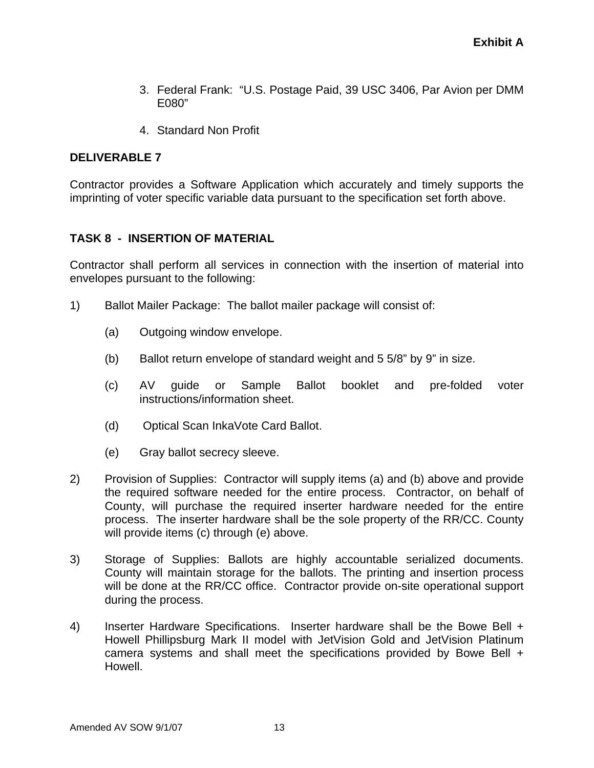- 3. Federal Frank: "U.S. Postage Paid, 39 USC 3406, Par Avion per DMM E080"
- 4. Standard Non Profit

Contractor provides a Software Application which accurately and timely supports the imprinting of voter specific variable data pursuant to the specification set forth above.

## **TASK 8 - INSERTION OF MATERIAL**

Contractor shall perform all services in connection with the insertion of material into envelopes pursuant to the following:

- 1) Ballot Mailer Package: The ballot mailer package will consist of:
	- (a) Outgoing window envelope.
	- (b) Ballot return envelope of standard weight and 5 5/8" by 9" in size.
	- (c) AV guide or Sample Ballot booklet and pre-folded voter instructions/information sheet.
	- (d) Optical Scan InkaVote Card Ballot.
	- (e) Gray ballot secrecy sleeve.
- 2) Provision of Supplies: Contractor will supply items (a) and (b) above and provide the required software needed for the entire process. Contractor, on behalf of County, will purchase the required inserter hardware needed for the entire process. The inserter hardware shall be the sole property of the RR/CC. County will provide items (c) through (e) above.
- 3) Storage of Supplies: Ballots are highly accountable serialized documents. County will maintain storage for the ballots. The printing and insertion process will be done at the RR/CC office. Contractor provide on-site operational support during the process.
- 4) Inserter Hardware Specifications. Inserter hardware shall be the Bowe Bell + Howell Phillipsburg Mark II model with JetVision Gold and JetVision Platinum camera systems and shall meet the specifications provided by Bowe Bell + Howell.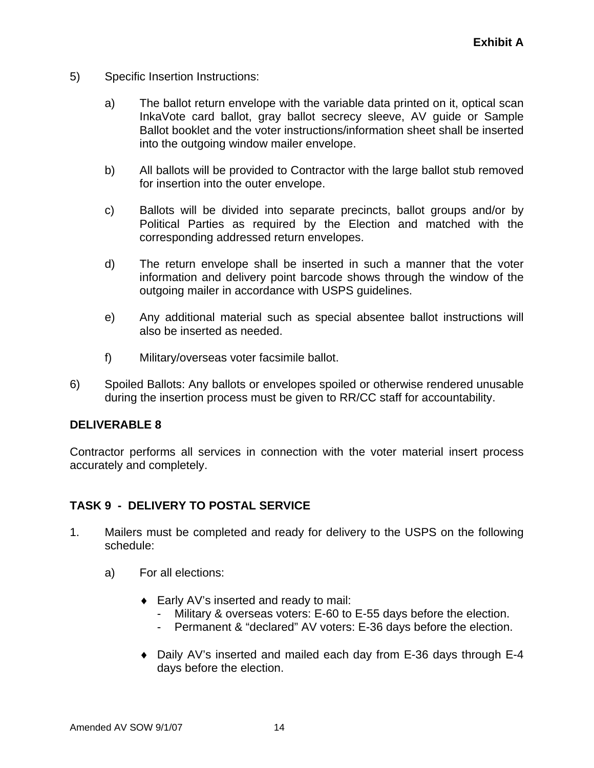- 5) Specific Insertion Instructions:
	- a) The ballot return envelope with the variable data printed on it, optical scan InkaVote card ballot, gray ballot secrecy sleeve, AV guide or Sample Ballot booklet and the voter instructions/information sheet shall be inserted into the outgoing window mailer envelope.
	- b) All ballots will be provided to Contractor with the large ballot stub removed for insertion into the outer envelope.
	- c) Ballots will be divided into separate precincts, ballot groups and/or by Political Parties as required by the Election and matched with the corresponding addressed return envelopes.
	- d) The return envelope shall be inserted in such a manner that the voter information and delivery point barcode shows through the window of the outgoing mailer in accordance with USPS guidelines.
	- e) Any additional material such as special absentee ballot instructions will also be inserted as needed.
	- f) Military/overseas voter facsimile ballot.
- 6) Spoiled Ballots: Any ballots or envelopes spoiled or otherwise rendered unusable during the insertion process must be given to RR/CC staff for accountability.

Contractor performs all services in connection with the voter material insert process accurately and completely.

## **TASK 9 - DELIVERY TO POSTAL SERVICE**

- 1. Mailers must be completed and ready for delivery to the USPS on the following schedule:
	- a) For all elections:
		- ♦ Early AV's inserted and ready to mail:
			- Military & overseas voters: E-60 to E-55 days before the election.
			- Permanent & "declared" AV voters: E-36 days before the election.
		- ♦ Daily AV's inserted and mailed each day from E-36 days through E-4 days before the election.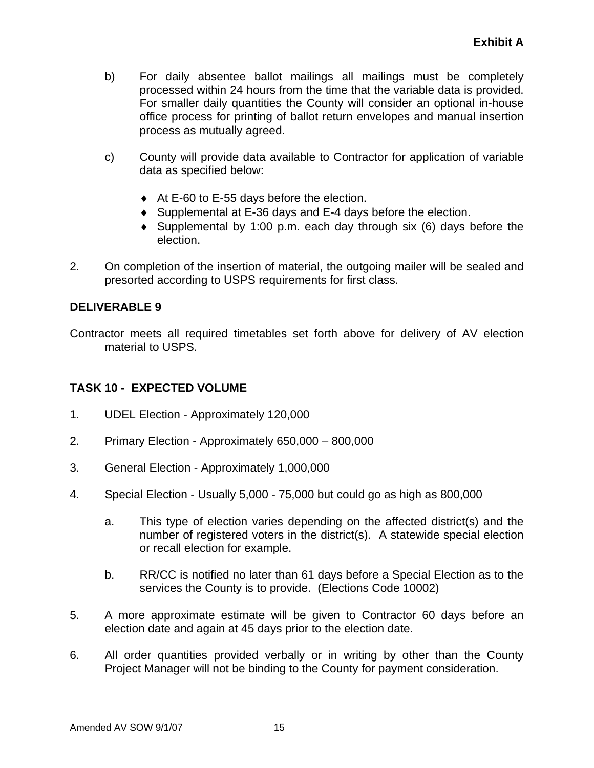- b) For daily absentee ballot mailings all mailings must be completely processed within 24 hours from the time that the variable data is provided. For smaller daily quantities the County will consider an optional in-house office process for printing of ballot return envelopes and manual insertion process as mutually agreed.
- c) County will provide data available to Contractor for application of variable data as specified below:
	- ◆ At E-60 to E-55 days before the election.
	- ♦ Supplemental at E-36 days and E-4 days before the election.
	- $\bullet$  Supplemental by 1:00 p.m. each day through six (6) days before the election.
- 2. On completion of the insertion of material, the outgoing mailer will be sealed and presorted according to USPS requirements for first class.

Contractor meets all required timetables set forth above for delivery of AV election material to USPS.

# **TASK 10 - EXPECTED VOLUME**

- 1. UDEL Election Approximately 120,000
- 2. Primary Election Approximately 650,000 800,000
- 3. General Election Approximately 1,000,000
- 4. Special Election Usually 5,000 75,000 but could go as high as 800,000
	- a. This type of election varies depending on the affected district(s) and the number of registered voters in the district(s). A statewide special election or recall election for example.
	- b. RR/CC is notified no later than 61 days before a Special Election as to the services the County is to provide. (Elections Code 10002)
- 5. A more approximate estimate will be given to Contractor 60 days before an election date and again at 45 days prior to the election date.
- 6. All order quantities provided verbally or in writing by other than the County Project Manager will not be binding to the County for payment consideration.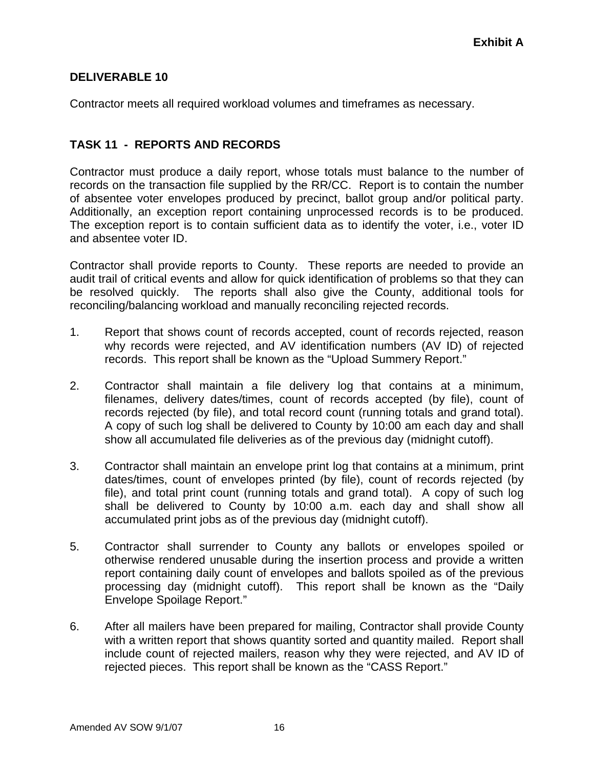Contractor meets all required workload volumes and timeframes as necessary.

## **TASK 11 - REPORTS AND RECORDS**

Contractor must produce a daily report, whose totals must balance to the number of records on the transaction file supplied by the RR/CC. Report is to contain the number of absentee voter envelopes produced by precinct, ballot group and/or political party. Additionally, an exception report containing unprocessed records is to be produced. The exception report is to contain sufficient data as to identify the voter, i.e., voter ID and absentee voter ID.

Contractor shall provide reports to County. These reports are needed to provide an audit trail of critical events and allow for quick identification of problems so that they can be resolved quickly. The reports shall also give the County, additional tools for reconciling/balancing workload and manually reconciling rejected records.

- 1. Report that shows count of records accepted, count of records rejected, reason why records were rejected, and AV identification numbers (AV ID) of rejected records. This report shall be known as the "Upload Summery Report."
- 2. Contractor shall maintain a file delivery log that contains at a minimum, filenames, delivery dates/times, count of records accepted (by file), count of records rejected (by file), and total record count (running totals and grand total). A copy of such log shall be delivered to County by 10:00 am each day and shall show all accumulated file deliveries as of the previous day (midnight cutoff).
- 3. Contractor shall maintain an envelope print log that contains at a minimum, print dates/times, count of envelopes printed (by file), count of records rejected (by file), and total print count (running totals and grand total). A copy of such log shall be delivered to County by 10:00 a.m. each day and shall show all accumulated print jobs as of the previous day (midnight cutoff).
- 5. Contractor shall surrender to County any ballots or envelopes spoiled or otherwise rendered unusable during the insertion process and provide a written report containing daily count of envelopes and ballots spoiled as of the previous processing day (midnight cutoff). This report shall be known as the "Daily Envelope Spoilage Report."
- 6. After all mailers have been prepared for mailing, Contractor shall provide County with a written report that shows quantity sorted and quantity mailed. Report shall include count of rejected mailers, reason why they were rejected, and AV ID of rejected pieces. This report shall be known as the "CASS Report."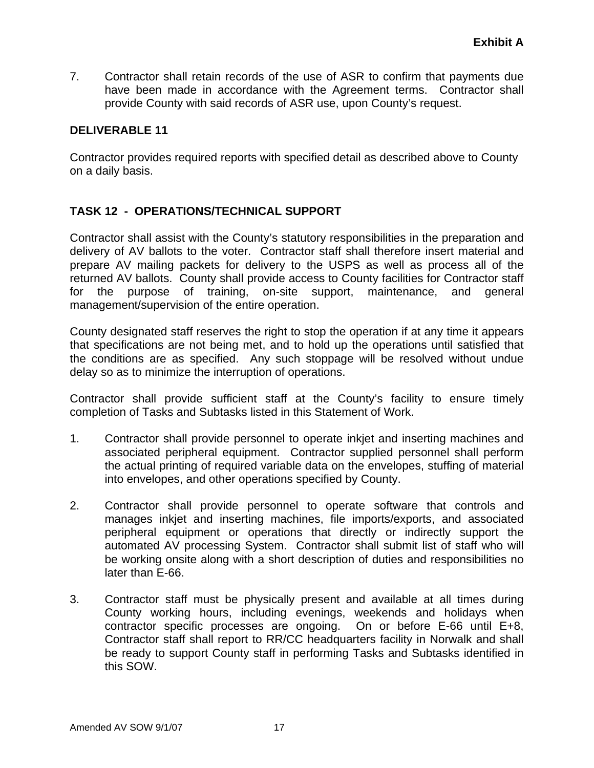7. Contractor shall retain records of the use of ASR to confirm that payments due have been made in accordance with the Agreement terms. Contractor shall provide County with said records of ASR use, upon County's request.

## **DELIVERABLE 11**

Contractor provides required reports with specified detail as described above to County on a daily basis.

## **TASK 12 - OPERATIONS/TECHNICAL SUPPORT**

Contractor shall assist with the County's statutory responsibilities in the preparation and delivery of AV ballots to the voter. Contractor staff shall therefore insert material and prepare AV mailing packets for delivery to the USPS as well as process all of the returned AV ballots. County shall provide access to County facilities for Contractor staff for the purpose of training, on-site support, maintenance, and general management/supervision of the entire operation.

County designated staff reserves the right to stop the operation if at any time it appears that specifications are not being met, and to hold up the operations until satisfied that the conditions are as specified. Any such stoppage will be resolved without undue delay so as to minimize the interruption of operations.

Contractor shall provide sufficient staff at the County's facility to ensure timely completion of Tasks and Subtasks listed in this Statement of Work.

- 1. Contractor shall provide personnel to operate inkjet and inserting machines and associated peripheral equipment. Contractor supplied personnel shall perform the actual printing of required variable data on the envelopes, stuffing of material into envelopes, and other operations specified by County.
- 2. Contractor shall provide personnel to operate software that controls and manages inkjet and inserting machines, file imports/exports, and associated peripheral equipment or operations that directly or indirectly support the automated AV processing System. Contractor shall submit list of staff who will be working onsite along with a short description of duties and responsibilities no later than E-66.
- 3. Contractor staff must be physically present and available at all times during County working hours, including evenings, weekends and holidays when contractor specific processes are ongoing. On or before E-66 until E+8, Contractor staff shall report to RR/CC headquarters facility in Norwalk and shall be ready to support County staff in performing Tasks and Subtasks identified in this SOW.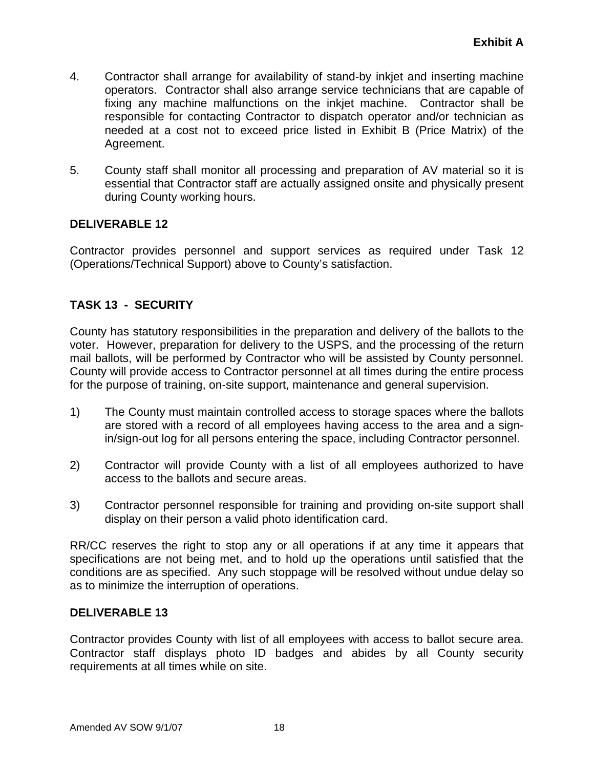- 4. Contractor shall arrange for availability of stand-by inkjet and inserting machine operators. Contractor shall also arrange service technicians that are capable of fixing any machine malfunctions on the inkjet machine. Contractor shall be responsible for contacting Contractor to dispatch operator and/or technician as needed at a cost not to exceed price listed in Exhibit B (Price Matrix) of the Agreement.
- 5. County staff shall monitor all processing and preparation of AV material so it is essential that Contractor staff are actually assigned onsite and physically present during County working hours.

Contractor provides personnel and support services as required under Task 12 (Operations/Technical Support) above to County's satisfaction.

# **TASK 13 - SECURITY**

County has statutory responsibilities in the preparation and delivery of the ballots to the voter. However, preparation for delivery to the USPS, and the processing of the return mail ballots, will be performed by Contractor who will be assisted by County personnel. County will provide access to Contractor personnel at all times during the entire process for the purpose of training, on-site support, maintenance and general supervision.

- 1) The County must maintain controlled access to storage spaces where the ballots are stored with a record of all employees having access to the area and a signin/sign-out log for all persons entering the space, including Contractor personnel.
- 2) Contractor will provide County with a list of all employees authorized to have access to the ballots and secure areas.
- 3) Contractor personnel responsible for training and providing on-site support shall display on their person a valid photo identification card.

RR/CC reserves the right to stop any or all operations if at any time it appears that specifications are not being met, and to hold up the operations until satisfied that the conditions are as specified. Any such stoppage will be resolved without undue delay so as to minimize the interruption of operations.

## **DELIVERABLE 13**

Contractor provides County with list of all employees with access to ballot secure area. Contractor staff displays photo ID badges and abides by all County security requirements at all times while on site.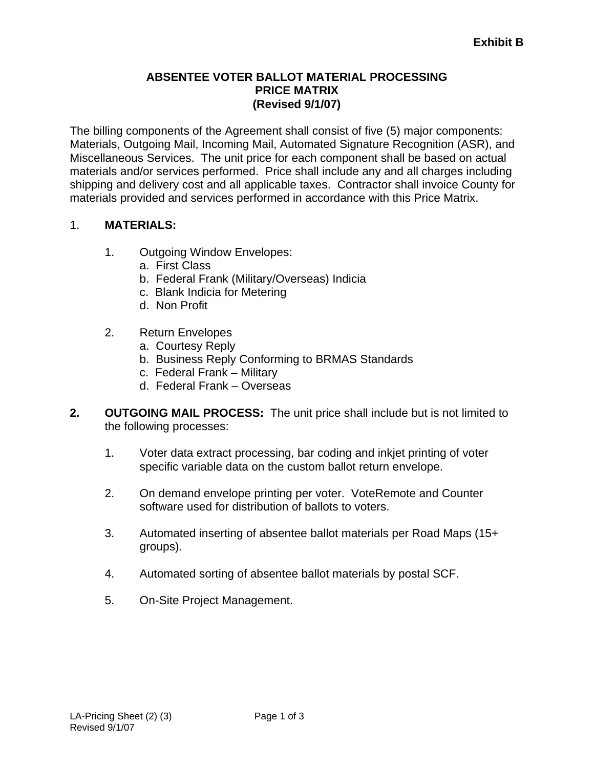## **ABSENTEE VOTER BALLOT MATERIAL PROCESSING PRICE MATRIX (Revised 9/1/07)**

The billing components of the Agreement shall consist of five (5) major components: Materials, Outgoing Mail, Incoming Mail, Automated Signature Recognition (ASR), and Miscellaneous Services. The unit price for each component shall be based on actual materials and/or services performed. Price shall include any and all charges including shipping and delivery cost and all applicable taxes. Contractor shall invoice County for materials provided and services performed in accordance with this Price Matrix.

## 1. **MATERIALS:**

- 1. Outgoing Window Envelopes:
	- a. First Class
	- b. Federal Frank (Military/Overseas) Indicia
	- c. Blank Indicia for Metering
	- d. Non Profit
- 2. Return Envelopes
	- a. Courtesy Reply
	- b. Business Reply Conforming to BRMAS Standards
	- c. Federal Frank Military
	- d. Federal Frank Overseas
- **2. OUTGOING MAIL PROCESS:** The unit price shall include but is not limited to the following processes:
	- 1. Voter data extract processing, bar coding and inkjet printing of voter specific variable data on the custom ballot return envelope.
	- 2. On demand envelope printing per voter. VoteRemote and Counter software used for distribution of ballots to voters.
	- 3. Automated inserting of absentee ballot materials per Road Maps (15+ groups).
	- 4. Automated sorting of absentee ballot materials by postal SCF.
	- 5. On-Site Project Management.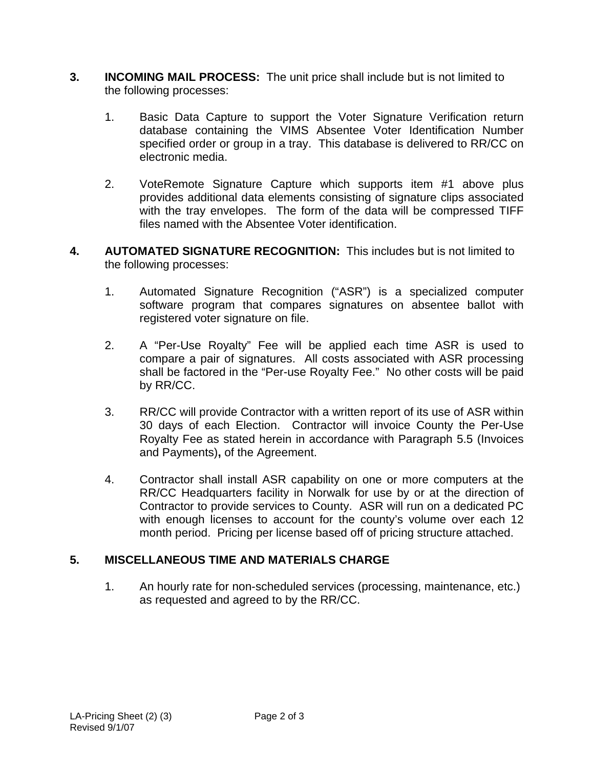- **3. INCOMING MAIL PROCESS:** The unit price shall include but is not limited to the following processes:
	- 1. Basic Data Capture to support the Voter Signature Verification return database containing the VIMS Absentee Voter Identification Number specified order or group in a tray. This database is delivered to RR/CC on electronic media.
	- 2. VoteRemote Signature Capture which supports item #1 above plus provides additional data elements consisting of signature clips associated with the tray envelopes. The form of the data will be compressed TIFF files named with the Absentee Voter identification.
- **4. AUTOMATED SIGNATURE RECOGNITION:** This includes but is not limited to the following processes:
	- 1. Automated Signature Recognition ("ASR") is a specialized computer software program that compares signatures on absentee ballot with registered voter signature on file.
	- 2. A "Per-Use Royalty" Fee will be applied each time ASR is used to compare a pair of signatures. All costs associated with ASR processing shall be factored in the "Per-use Royalty Fee." No other costs will be paid by RR/CC.
	- 3. RR/CC will provide Contractor with a written report of its use of ASR within 30 days of each Election. Contractor will invoice County the Per-Use Royalty Fee as stated herein in accordance with Paragraph 5.5 (Invoices and Payments)**,** of the Agreement.
	- 4. Contractor shall install ASR capability on one or more computers at the RR/CC Headquarters facility in Norwalk for use by or at the direction of Contractor to provide services to County. ASR will run on a dedicated PC with enough licenses to account for the county's volume over each 12 month period. Pricing per license based off of pricing structure attached.

# **5. MISCELLANEOUS TIME AND MATERIALS CHARGE**

 1. An hourly rate for non-scheduled services (processing, maintenance, etc.) as requested and agreed to by the RR/CC.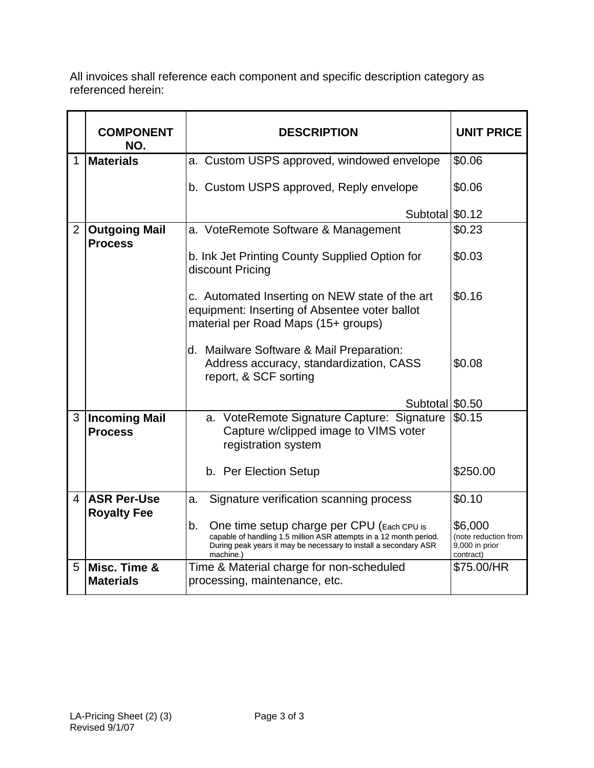All invoices shall reference each component and specific description category as referenced herein:

|                | <b>COMPONENT</b><br>NO.                | <b>DESCRIPTION</b>                                                                                                                                                                                      | <b>UNIT PRICE</b>                                              |
|----------------|----------------------------------------|---------------------------------------------------------------------------------------------------------------------------------------------------------------------------------------------------------|----------------------------------------------------------------|
| 1              | <b>Materials</b>                       | a. Custom USPS approved, windowed envelope                                                                                                                                                              | \$0.06                                                         |
|                |                                        | b. Custom USPS approved, Reply envelope                                                                                                                                                                 | \$0.06                                                         |
|                |                                        | Subtotal \$0.12                                                                                                                                                                                         |                                                                |
| $\overline{2}$ | <b>Outgoing Mail</b><br><b>Process</b> | a. VoteRemote Software & Management                                                                                                                                                                     | \$0.23                                                         |
|                |                                        | b. Ink Jet Printing County Supplied Option for<br>discount Pricing                                                                                                                                      | \$0.03                                                         |
|                |                                        | c. Automated Inserting on NEW state of the art<br>equipment: Inserting of Absentee voter ballot<br>material per Road Maps (15+ groups)                                                                  | \$0.16                                                         |
|                |                                        | d. Mailware Software & Mail Preparation:<br>Address accuracy, standardization, CASS<br>report, & SCF sorting                                                                                            | \$0.08                                                         |
|                |                                        | Subtotal \$0.50                                                                                                                                                                                         |                                                                |
| 3              | <b>Incoming Mail</b><br><b>Process</b> | a. VoteRemote Signature Capture: Signature<br>Capture w/clipped image to VIMS voter<br>registration system                                                                                              | \$0.15                                                         |
|                |                                        | b. Per Election Setup                                                                                                                                                                                   | \$250.00                                                       |
| 4              | <b>ASR Per-Use</b>                     | Signature verification scanning process<br>a.                                                                                                                                                           | \$0.10                                                         |
|                | <b>Royalty Fee</b>                     | b.<br>One time setup charge per CPU (Each CPU is<br>capable of handling 1.5 million ASR attempts in a 12 month period.<br>During peak years it may be necessary to install a secondary ASR<br>machine.) | \$6,000<br>(note reduction from<br>9,000 in prior<br>contract) |
| 5              | Misc. Time &<br><b>Materials</b>       | Time & Material charge for non-scheduled<br>processing, maintenance, etc.                                                                                                                               | \$75.00/HR                                                     |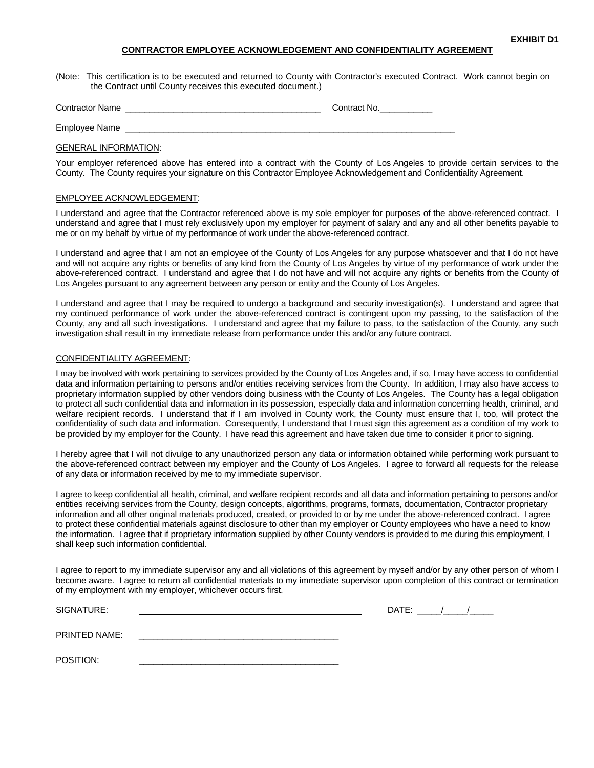#### **CONTRACTOR EMPLOYEE ACKNOWLEDGEMENT AND CONFIDENTIALITY AGREEMENT**

(Note: This certification is to be executed and returned to County with Contractor's executed Contract. Work cannot begin on the Contract until County receives this executed document.)

| <b>Contractor Name</b> | Contract No. |
|------------------------|--------------|
| Employee Name          |              |

### GENERAL INFORMATION:

Your employer referenced above has entered into a contract with the County of Los Angeles to provide certain services to the County. The County requires your signature on this Contractor Employee Acknowledgement and Confidentiality Agreement.

#### EMPLOYEE ACKNOWLEDGEMENT:

I understand and agree that the Contractor referenced above is my sole employer for purposes of the above-referenced contract. I understand and agree that I must rely exclusively upon my employer for payment of salary and any and all other benefits payable to me or on my behalf by virtue of my performance of work under the above-referenced contract.

I understand and agree that I am not an employee of the County of Los Angeles for any purpose whatsoever and that I do not have and will not acquire any rights or benefits of any kind from the County of Los Angeles by virtue of my performance of work under the above-referenced contract. I understand and agree that I do not have and will not acquire any rights or benefits from the County of Los Angeles pursuant to any agreement between any person or entity and the County of Los Angeles.

I understand and agree that I may be required to undergo a background and security investigation(s). I understand and agree that my continued performance of work under the above-referenced contract is contingent upon my passing, to the satisfaction of the County, any and all such investigations. I understand and agree that my failure to pass, to the satisfaction of the County, any such investigation shall result in my immediate release from performance under this and/or any future contract.

#### CONFIDENTIALITY AGREEMENT:

I may be involved with work pertaining to services provided by the County of Los Angeles and, if so, I may have access to confidential data and information pertaining to persons and/or entities receiving services from the County. In addition, I may also have access to proprietary information supplied by other vendors doing business with the County of Los Angeles. The County has a legal obligation to protect all such confidential data and information in its possession, especially data and information concerning health, criminal, and welfare recipient records. I understand that if I am involved in County work, the County must ensure that I, too, will protect the confidentiality of such data and information. Consequently, I understand that I must sign this agreement as a condition of my work to be provided by my employer for the County. I have read this agreement and have taken due time to consider it prior to signing.

I hereby agree that I will not divulge to any unauthorized person any data or information obtained while performing work pursuant to the above-referenced contract between my employer and the County of Los Angeles. I agree to forward all requests for the release of any data or information received by me to my immediate supervisor.

I agree to keep confidential all health, criminal, and welfare recipient records and all data and information pertaining to persons and/or entities receiving services from the County, design concepts, algorithms, programs, formats, documentation, Contractor proprietary information and all other original materials produced, created, or provided to or by me under the above-referenced contract. I agree to protect these confidential materials against disclosure to other than my employer or County employees who have a need to know the information. I agree that if proprietary information supplied by other County vendors is provided to me during this employment, I shall keep such information confidential.

I agree to report to my immediate supervisor any and all violations of this agreement by myself and/or by any other person of whom I become aware. I agree to return all confidential materials to my immediate supervisor upon completion of this contract or termination of my employment with my employer, whichever occurs first.

| SIGNATURE:           | DATE: |
|----------------------|-------|
| <b>PRINTED NAME:</b> |       |
| POSITION:            |       |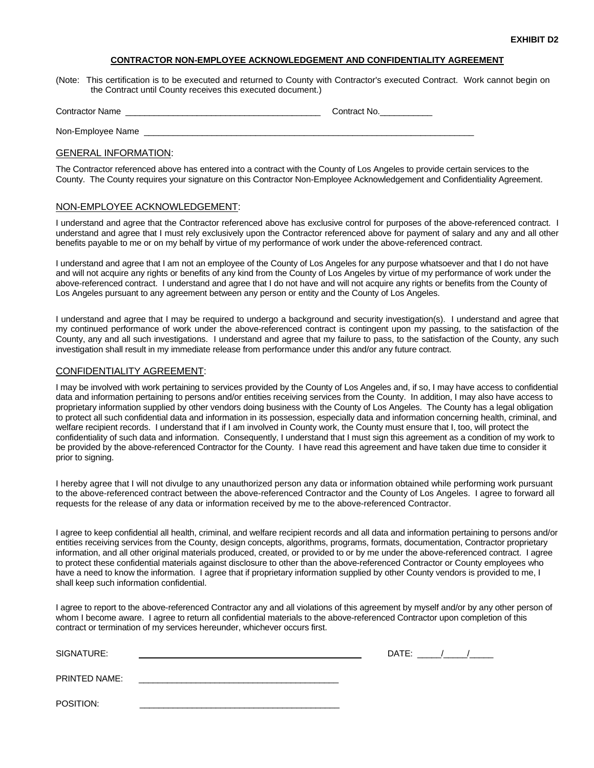### **CONTRACTOR NON-EMPLOYEE ACKNOWLEDGEMENT AND CONFIDENTIALITY AGREEMENT**

(Note: This certification is to be executed and returned to County with Contractor's executed Contract. Work cannot begin on the Contract until County receives this executed document.)

| <b>Contractor Name</b> | Contract No. |
|------------------------|--------------|
|                        |              |
| ___                    |              |

Non-Employee Name

#### GENERAL INFORMATION:

The Contractor referenced above has entered into a contract with the County of Los Angeles to provide certain services to the County. The County requires your signature on this Contractor Non-Employee Acknowledgement and Confidentiality Agreement.

### NON-EMPLOYEE ACKNOWLEDGEMENT:

I understand and agree that the Contractor referenced above has exclusive control for purposes of the above-referenced contract. I understand and agree that I must rely exclusively upon the Contractor referenced above for payment of salary and any and all other benefits payable to me or on my behalf by virtue of my performance of work under the above-referenced contract.

I understand and agree that I am not an employee of the County of Los Angeles for any purpose whatsoever and that I do not have and will not acquire any rights or benefits of any kind from the County of Los Angeles by virtue of my performance of work under the above-referenced contract. I understand and agree that I do not have and will not acquire any rights or benefits from the County of Los Angeles pursuant to any agreement between any person or entity and the County of Los Angeles.

I understand and agree that I may be required to undergo a background and security investigation(s). I understand and agree that my continued performance of work under the above-referenced contract is contingent upon my passing, to the satisfaction of the County, any and all such investigations. I understand and agree that my failure to pass, to the satisfaction of the County, any such investigation shall result in my immediate release from performance under this and/or any future contract.

#### CONFIDENTIALITY AGREEMENT:

I may be involved with work pertaining to services provided by the County of Los Angeles and, if so, I may have access to confidential data and information pertaining to persons and/or entities receiving services from the County. In addition, I may also have access to proprietary information supplied by other vendors doing business with the County of Los Angeles. The County has a legal obligation to protect all such confidential data and information in its possession, especially data and information concerning health, criminal, and welfare recipient records. I understand that if I am involved in County work, the County must ensure that I, too, will protect the confidentiality of such data and information. Consequently, I understand that I must sign this agreement as a condition of my work to be provided by the above-referenced Contractor for the County. I have read this agreement and have taken due time to consider it prior to signing.

I hereby agree that I will not divulge to any unauthorized person any data or information obtained while performing work pursuant to the above-referenced contract between the above-referenced Contractor and the County of Los Angeles. I agree to forward all requests for the release of any data or information received by me to the above-referenced Contractor.

I agree to keep confidential all health, criminal, and welfare recipient records and all data and information pertaining to persons and/or entities receiving services from the County, design concepts, algorithms, programs, formats, documentation, Contractor proprietary information, and all other original materials produced, created, or provided to or by me under the above-referenced contract. I agree to protect these confidential materials against disclosure to other than the above-referenced Contractor or County employees who have a need to know the information. I agree that if proprietary information supplied by other County vendors is provided to me, I shall keep such information confidential.

I agree to report to the above-referenced Contractor any and all violations of this agreement by myself and/or by any other person of whom I become aware. I agree to return all confidential materials to the above-referenced Contractor upon completion of this contract or termination of my services hereunder, whichever occurs first.

| SIGNATURE:    | DATE: |
|---------------|-------|
| PRINTED NAME: |       |
| POSITION:     |       |